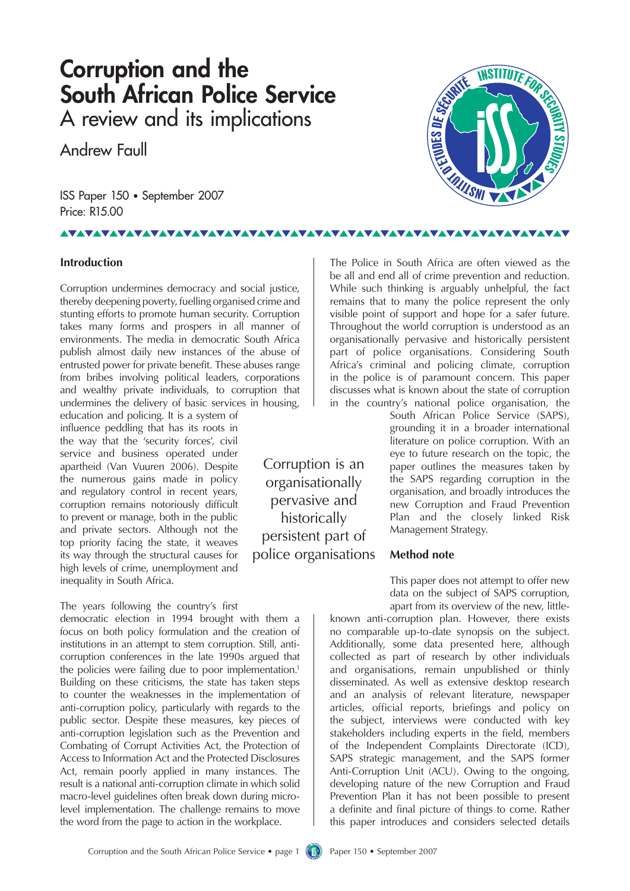## **Corruption and the South African Police Service** A review and its implications

Andrew Faull

ISS Paper 150 • September 2007 Price: R15.00

## <u>VAVAVAVAVAVAVAVAVAVAVAVAVA</u>

#### **Introduction**

Corruption undermines democracy and social justice, thereby deepening poverty, fuelling organised crime and stunting efforts to promote human security. Corruption takes many forms and prospers in all manner of environments. The media in democratic South Africa publish almost daily new instances of the abuse of entrusted power for private benefit. These abuses range from bribes involving political leaders, corporations and wealthy private individuals, to corruption that undermines the delivery of basic services in housing,

education and policing. It is a system of influence peddling that has its roots in the way that the 'security forces', civil service and business operated under apartheid (Van Vuuren 2006). Despite the numerous gains made in policy and regulatory control in recent years, corruption remains notoriously difficult to prevent or manage, both in the public and private sectors. Although not the top priority facing the state, it weaves its way through the structural causes for high levels of crime, unemployment and inequality in South Africa.

The years following the country's first democratic election in 1994 brought with them a focus on both policy formulation and the creation of institutions in an attempt to stem corruption. Still, anticorruption conferences in the late 1990s argued that the policies were failing due to poor implementation.<sup>1</sup> Building on these criticisms, the state has taken steps to counter the weaknesses in the implementation of anti-corruption policy, particularly with regards to the public sector. Despite these measures, key pieces of anti-corruption legislation such as the Prevention and Combating of Corrupt Activities Act, the Protection of Access to Information Act and the Protected Disclosures Act, remain poorly applied in many instances. The result is a national anti-corruption climate in which solid macro-level guidelines often break down during microlevel implementation. The challenge remains to move the word from the page to action in the workplace.

Corruption is an organisationally pervasive and historically persistent part of police organisations

The Police in South Africa are often viewed as the be all and end all of crime prevention and reduction. While such thinking is arguably unhelpful, the fact remains that to many the police represent the only visible point of support and hope for a safer future. Throughout the world corruption is understood as an organisationally pervasive and historically persistent part of police organisations. Considering South Africa's criminal and policing climate, corruption in the police is of paramount concern. This paper discusses what is known about the state of corruption in the country's national police organisation, the

South African Police Service (SAPS), grounding it in a broader international literature on police corruption. With an eye to future research on the topic, the paper outlines the measures taken by the SAPS regarding corruption in the organisation, and broadly introduces the new Corruption and Fraud Prevention Plan and the closely linked Risk Management Strategy.

#### **Method note**

This paper does not attempt to offer new data on the subject of SAPS corruption, apart from its overview of the new, little-

known anti-corruption plan. However, there exists no comparable up-to-date synopsis on the subject. Additionally, some data presented here, although collected as part of research by other individuals and organisations, remain unpublished or thinly disseminated. As well as extensive desktop research and an analysis of relevant literature, newspaper articles, official reports, briefings and policy on the subject, interviews were conducted with key stakeholders including experts in the field, members of the Independent Complaints Directorate (ICD), SAPS strategic management, and the SAPS former Anti-Corruption Unit (ACU). Owing to the ongoing, developing nature of the new Corruption and Fraud Prevention Plan it has not been possible to present a definite and final picture of things to come. Rather this paper introduces and considers selected details

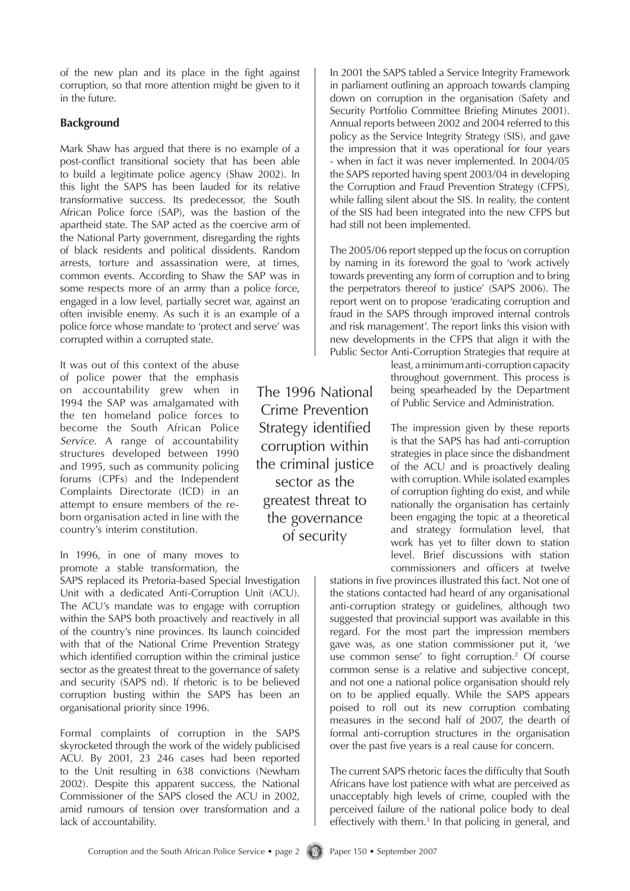of the new plan and its place in the fight against corruption, so that more attention might be given to it in the future.

#### **Background**

Mark Shaw has argued that there is no example of a post-conflict transitional society that has been able to build a legitimate police agency (Shaw 2002). In this light the SAPS has been lauded for its relative transformative success. Its predecessor, the South African Police force (SAP), was the bastion of the apartheid state. The SAP acted as the coercive arm of the National Party government, disregarding the rights of black residents and political dissidents. Random arrests, torture and assassination were, at times, common events. According to Shaw the SAP was in some respects more of an army than a police force, engaged in a low level, partially secret war, against an often invisible enemy. As such it is an example of a police force whose mandate to 'protect and serve' was corrupted within a corrupted state.

It was out of this context of the abuse of police power that the emphasis on accountability grew when in 1994 the SAP was amalgamated with the ten homeland police forces to become the South African Police *Service*. A range of accountability structures developed between 1990 and 1995, such as community policing forums (CPFs) and the Independent Complaints Directorate (ICD) in an attempt to ensure members of the reborn organisation acted in line with the country's interim constitution.

In 1996, in one of many moves to promote a stable transformation, the

SAPS replaced its Pretoria-based Special Investigation Unit with a dedicated Anti-Corruption Unit (ACU). The ACU's mandate was to engage with corruption within the SAPS both proactively and reactively in all of the country's nine provinces. Its launch coincided with that of the National Crime Prevention Strategy which identified corruption within the criminal justice sector as the greatest threat to the governance of safety and security (SAPS nd). If rhetoric is to be believed corruption busting within the SAPS has been an organisational priority since 1996.

Formal complaints of corruption in the SAPS skyrocketed through the work of the widely publicised ACU. By 2001, 23 246 cases had been reported to the Unit resulting in 638 convictions (Newham 2002). Despite this apparent success, the National Commissioner of the SAPS closed the ACU in 2002, amid rumours of tension over transformation and a lack of accountability.

The 1996 National Crime Prevention Strategy identified corruption within the criminal justice sector as the greatest threat to the governance of security

In 2001 the SAPS tabled a Service Integrity Framework in parliament outlining an approach towards clamping down on corruption in the organisation (Safety and Security Portfolio Committee Briefing Minutes 2001). Annual reports between 2002 and 2004 referred to this policy as the Service Integrity Strategy (SIS), and gave the impression that it was operational for four years - when in fact it was never implemented. In 2004/05 the SAPS reported having spent 2003/04 in developing the Corruption and Fraud Prevention Strategy (CFPS), while falling silent about the SIS. In reality, the content of the SIS had been integrated into the new CFPS but had still not been implemented.

The 2005/06 report stepped up the focus on corruption by naming in its foreword the goal to 'work actively towards preventing any form of corruption and to bring the perpetrators thereof to justice' (SAPS 2006). The report went on to propose 'eradicating corruption and fraud in the SAPS through improved internal controls and risk management'. The report links this vision with new developments in the CFPS that align it with the Public Sector Anti-Corruption Strategies that require at

> least, a minimum anti-corruption capacity throughout government. This process is being spearheaded by the Department of Public Service and Administration.

> The impression given by these reports is that the SAPS has had anti-corruption strategies in place since the disbandment of the ACU and is proactively dealing with corruption. While isolated examples of corruption fighting do exist, and while nationally the organisation has certainly been engaging the topic at a theoretical and strategy formulation level, that work has yet to filter down to station level. Brief discussions with station commissioners and officers at twelve

stations in five provinces illustrated this fact. Not one of the stations contacted had heard of any organisational anti-corruption strategy or guidelines, although two suggested that provincial support was available in this regard. For the most part the impression members gave was, as one station commissioner put it, 'we use common sense' to fight corruption.<sup>2</sup> Of course common sense is a relative and subjective concept, and not one a national police organisation should rely on to be applied equally. While the SAPS appears poised to roll out its new corruption combating measures in the second half of 2007, the dearth of formal anti-corruption structures in the organisation over the past five years is a real cause for concern.

The current SAPS rhetoric faces the difficulty that South Africans have lost patience with what are perceived as unacceptably high levels of crime, coupled with the perceived failure of the national police body to deal effectively with them.<sup>3</sup> In that policing in general, and

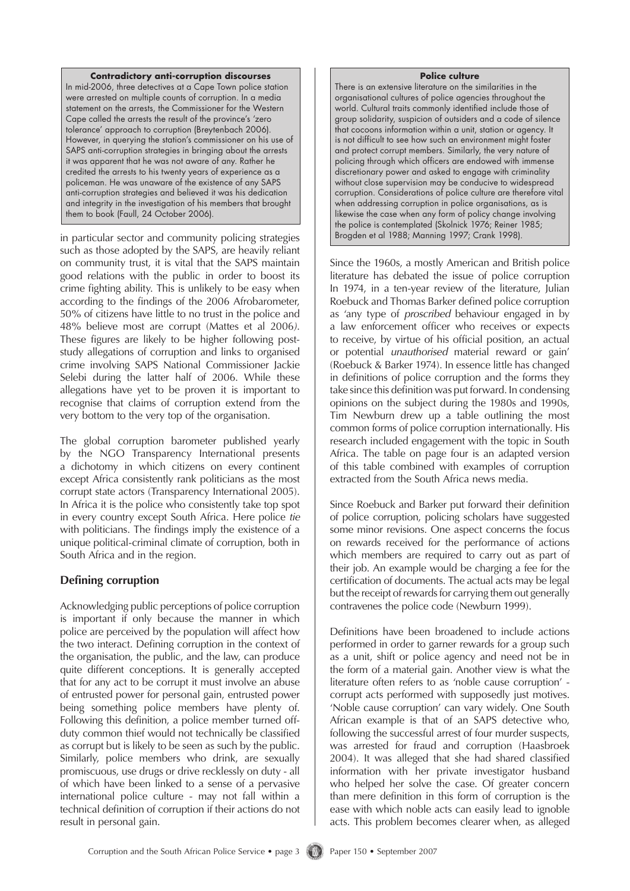#### **Contradictory anti-corruption discourses**

In mid-2006, three detectives at a Cape Town police station were arrested on multiple counts of corruption. In a media statement on the arrests, the Commissioner for the Western Cape called the arrests the result of the province's 'zero tolerance' approach to corruption (Breytenbach 2006). However, in querying the station's commissioner on his use of SAPS anti-corruption strategies in bringing about the arrests it was apparent that he was not aware of any. Rather he credited the arrests to his twenty years of experience as a policeman. He was unaware of the existence of any SAPS anti-corruption strategies and believed it was his dedication and integrity in the investigation of his members that brought them to book (Faull, 24 October 2006).

in particular sector and community policing strategies such as those adopted by the SAPS, are heavily reliant on community trust, it is vital that the SAPS maintain good relations with the public in order to boost its crime fighting ability. This is unlikely to be easy when according to the findings of the 2006 Afrobarometer, 50% of citizens have little to no trust in the police and 48% believe most are corrupt (Mattes et al 2006*)*. These figures are likely to be higher following poststudy allegations of corruption and links to organised crime involving SAPS National Commissioner Jackie Selebi during the latter half of 2006. While these allegations have yet to be proven it is important to recognise that claims of corruption extend from the very bottom to the very top of the organisation.

The global corruption barometer published yearly by the NGO Transparency International presents a dichotomy in which citizens on every continent except Africa consistently rank politicians as the most corrupt state actors (Transparency International 2005). In Africa it is the police who consistently take top spot in every country except South Africa. Here police *tie* with politicians. The findings imply the existence of a unique political-criminal climate of corruption, both in South Africa and in the region.

#### **Defining corruption**

Acknowledging public perceptions of police corruption is important if only because the manner in which police are perceived by the population will affect how the two interact. Defining corruption in the context of the organisation, the public, and the law, can produce quite different conceptions. It is generally accepted that for any act to be corrupt it must involve an abuse of entrusted power for personal gain, entrusted power being something police members have plenty of. Following this definition, a police member turned offduty common thief would not technically be classified as corrupt but is likely to be seen as such by the public. Similarly, police members who drink, are sexually promiscuous, use drugs or drive recklessly on duty - all of which have been linked to a sense of a pervasive international police culture - may not fall within a technical definition of corruption if their actions do not result in personal gain.

#### **Police culture**

There is an extensive literature on the similarities in the organisational cultures of police agencies throughout the world. Cultural traits commonly identified include those of group solidarity, suspicion of outsiders and a code of silence that cocoons information within a unit, station or agency. It is not difficult to see how such an environment might foster and protect corrupt members. Similarly, the very nature of policing through which officers are endowed with immense discretionary power and asked to engage with criminality without close supervision may be conducive to widespread corruption. Considerations of police culture are therefore vital when addressing corruption in police organisations, as is likewise the case when any form of policy change involving the police is contemplated (Skolnick 1976; Reiner 1985; Brogden et al 1988; Manning 1997; Crank 1998).

Since the 1960s, a mostly American and British police literature has debated the issue of police corruption In 1974, in a ten-year review of the literature, Julian Roebuck and Thomas Barker defined police corruption as 'any type of *proscribed* behaviour engaged in by a law enforcement officer who receives or expects to receive, by virtue of his official position, an actual or potential *unauthorised* material reward or gain' (Roebuck & Barker 1974). In essence little has changed in definitions of police corruption and the forms they take since this definition was put forward. In condensing opinions on the subject during the 1980s and 1990s, Tim Newburn drew up a table outlining the most common forms of police corruption internationally. His research included engagement with the topic in South Africa. The table on page four is an adapted version of this table combined with examples of corruption extracted from the South Africa news media.

Since Roebuck and Barker put forward their definition of police corruption, policing scholars have suggested some minor revisions. One aspect concerns the focus on rewards received for the performance of actions which members are required to carry out as part of their job. An example would be charging a fee for the certification of documents. The actual acts may be legal but the receipt of rewards for carrying them out generally contravenes the police code (Newburn 1999).

Definitions have been broadened to include actions performed in order to garner rewards for a group such as a unit, shift or police agency and need not be in the form of a material gain. Another view is what the literature often refers to as 'noble cause corruption' corrupt acts performed with supposedly just motives. 'Noble cause corruption' can vary widely. One South African example is that of an SAPS detective who, following the successful arrest of four murder suspects, was arrested for fraud and corruption (Haasbroek 2004). It was alleged that she had shared classified information with her private investigator husband who helped her solve the case. Of greater concern than mere definition in this form of corruption is the ease with which noble acts can easily lead to ignoble acts. This problem becomes clearer when, as alleged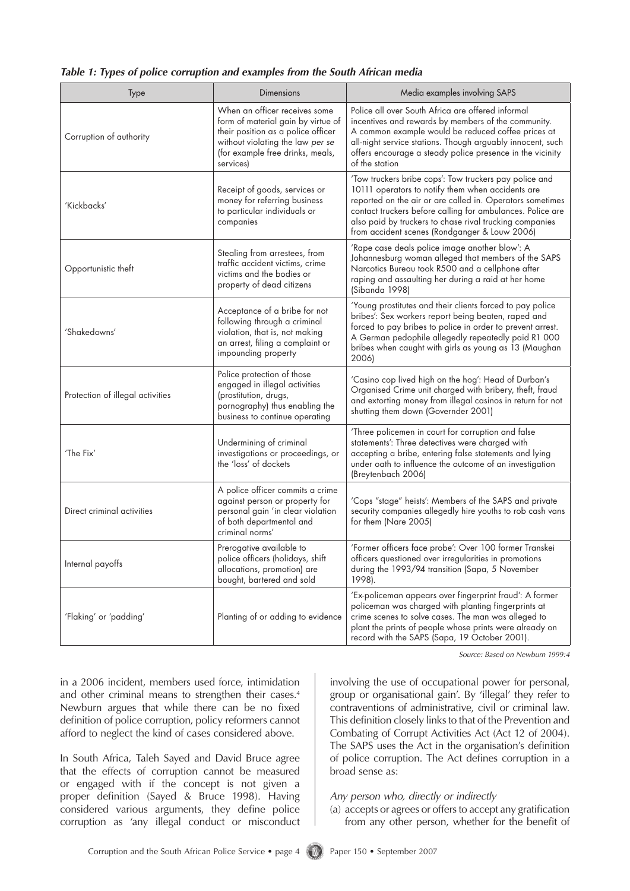|  |  |  |  |  | Table 1: Types of police corruption and examples from the South African media |  |  |  |  |  |  |  |
|--|--|--|--|--|-------------------------------------------------------------------------------|--|--|--|--|--|--|--|
|--|--|--|--|--|-------------------------------------------------------------------------------|--|--|--|--|--|--|--|

| Type                             | <b>Dimensions</b>                                                                                                                                                                              | Media examples involving SAPS                                                                                                                                                                                                                                                                                                                      |  |  |
|----------------------------------|------------------------------------------------------------------------------------------------------------------------------------------------------------------------------------------------|----------------------------------------------------------------------------------------------------------------------------------------------------------------------------------------------------------------------------------------------------------------------------------------------------------------------------------------------------|--|--|
| Corruption of authority          | When an officer receives some<br>form of material gain by virtue of<br>their position as a police officer<br>without violating the law per se<br>(for example free drinks, meals,<br>services) | Police all over South Africa are offered informal<br>incentives and rewards by members of the community.<br>A common example would be reduced coffee prices at<br>all-night service stations. Though arguably innocent, such<br>offers encourage a steady police presence in the vicinity<br>of the station                                        |  |  |
| 'Kickbacks'                      | Receipt of goods, services or<br>money for referring business<br>to particular individuals or<br>companies                                                                                     | 'Tow truckers bribe cops': Tow truckers pay police and<br>10111 operators to notify them when accidents are<br>reported on the air or are called in. Operators sometimes<br>contact truckers before calling for ambulances. Police are<br>also paid by truckers to chase rival trucking companies<br>from accident scenes (Rondganger & Louw 2006) |  |  |
| Opportunistic theft              | Stealing from arrestees, from<br>traffic accident victims, crime<br>victims and the bodies or<br>property of dead citizens                                                                     | 'Rape case deals police image another blow': A<br>Johannesburg woman alleged that members of the SAPS<br>Narcotics Bureau took R500 and a cellphone after<br>raping and assaulting her during a raid at her home<br>(Sibanda 1998)                                                                                                                 |  |  |
| 'Shakedowns'                     | Acceptance of a bribe for not<br>following through a criminal<br>violation, that is, not making<br>an arrest, filing a complaint or<br>impounding property                                     | 'Young prostitutes and their clients forced to pay police<br>bribes': Sex workers report being beaten, raped and<br>forced to pay bribes to police in order to prevent arrest.<br>A German pedophile allegedly repeatedly paid R1 000<br>bribes when caught with girls as young as 13 (Maughan<br>2006)                                            |  |  |
| Protection of illegal activities | Police protection of those<br>engaged in illegal activities<br>(prostitution, drugs,<br>pornography) thus enabling the<br>business to continue operating                                       | 'Casino cop lived high on the hog': Head of Durban's<br>Organised Crime unit charged with bribery, theft, fraud<br>and extorting money from illegal casinos in return for not<br>shutting them down (Governder 2001)                                                                                                                               |  |  |
| 'The Fix'                        | Undermining of criminal<br>investigations or proceedings, or<br>the 'loss' of dockets                                                                                                          | 'Three policemen in court for corruption and false<br>statements': Three detectives were charged with<br>accepting a bribe, entering false statements and lying<br>under oath to influence the outcome of an investigation<br>(Breytenbach 2006)                                                                                                   |  |  |
| Direct criminal activities       | A police officer commits a crime<br>against person or property for<br>personal gain 'in clear violation<br>of both departmental and<br>criminal norms'                                         | 'Cops "stage" heists': Members of the SAPS and private<br>security companies allegedly hire youths to rob cash vans<br>for them (Nare 2005)                                                                                                                                                                                                        |  |  |
| Internal payoffs                 | Prerogative available to<br>police officers (holidays, shift<br>allocations, promotion) are<br>bought, bartered and sold                                                                       | 'Former officers face probe': Over 100 former Transkei<br>officers questioned over irregularities in promotions<br>during the 1993/94 transition (Sapa, 5 November<br>1998).                                                                                                                                                                       |  |  |
| 'Flaking' or 'padding'           | Planting of or adding to evidence                                                                                                                                                              | 'Ex-policeman appears over fingerprint fraud': A former<br>policeman was charged with planting fingerprints at<br>crime scenes to solve cases. The man was alleged to<br>plant the prints of people whose prints were already on<br>record with the SAPS (Sapa, 19 October 2001).                                                                  |  |  |

*Source: Based on Newburn 1999:4*

in a 2006 incident, members used force, intimidation and other criminal means to strengthen their cases.<sup>4</sup> Newburn argues that while there can be no fixed definition of police corruption, policy reformers cannot afford to neglect the kind of cases considered above.

In South Africa, Taleh Sayed and David Bruce agree that the effects of corruption cannot be measured or engaged with if the concept is not given a proper definition (Sayed & Bruce 1998). Having considered various arguments, they define police corruption as 'any illegal conduct or misconduct involving the use of occupational power for personal, group or organisational gain'. By 'illegal' they refer to contraventions of administrative, civil or criminal law. This definition closely links to that of the Prevention and Combating of Corrupt Activities Act (Act 12 of 2004). The SAPS uses the Act in the organisation's definition of police corruption. The Act defines corruption in a broad sense as:

#### *Any person who, directly or indirectly*

(a) accepts or agrees or offers to accept any gratification from any other person, whether for the benefit of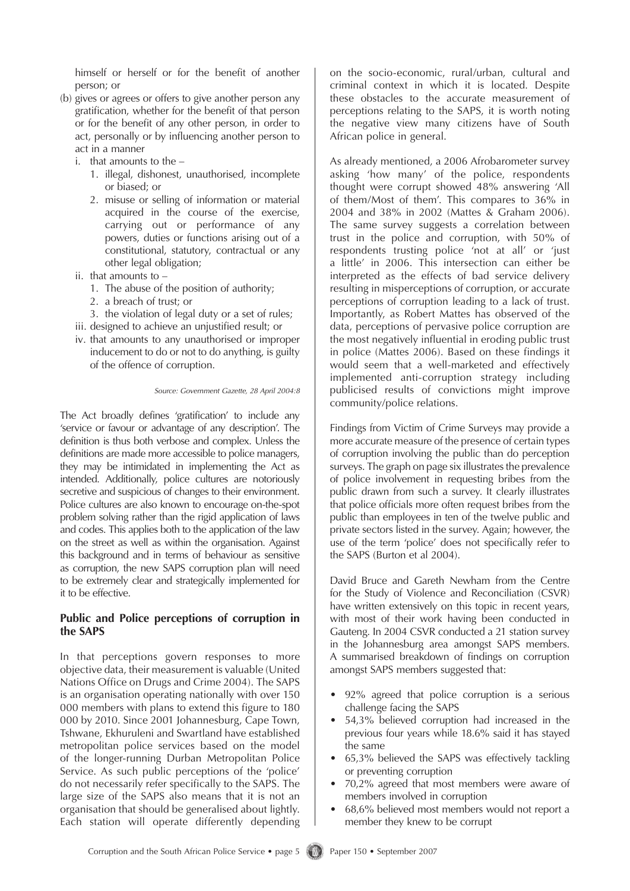himself or herself or for the benefit of another person; or

- (b) gives or agrees or offers to give another person any gratification, whether for the benefit of that person or for the benefit of any other person, in order to act, personally or by influencing another person to act in a manner
	- i. that amounts to the  $-$ 
		- 1. illegal, dishonest, unauthorised, incomplete or biased; or
		- 2. misuse or selling of information or material acquired in the course of the exercise, carrying out or performance of any powers, duties or functions arising out of a constitutional, statutory, contractual or any other legal obligation;
	- ii. that amounts to  $-$ 
		- 1. The abuse of the position of authority;
		- 2. a breach of trust; or
		- 3. the violation of legal duty or a set of rules;
	- iii. designed to achieve an unjustified result; or
	- iv. that amounts to any unauthorised or improper inducement to do or not to do anything, is guilty of the offence of corruption.

*Source: Government Gazette, 28 April 2004:8*

The Act broadly defines 'gratification' to include any 'service or favour or advantage of any description'. The definition is thus both verbose and complex. Unless the definitions are made more accessible to police managers, they may be intimidated in implementing the Act as intended. Additionally, police cultures are notoriously secretive and suspicious of changes to their environment. Police cultures are also known to encourage on-the-spot problem solving rather than the rigid application of laws and codes. This applies both to the application of the law on the street as well as within the organisation. Against this background and in terms of behaviour as sensitive as corruption, the new SAPS corruption plan will need to be extremely clear and strategically implemented for it to be effective.

#### **Public and Police perceptions of corruption in the SAPS**

In that perceptions govern responses to more objective data, their measurement is valuable (United Nations Office on Drugs and Crime 2004). The SAPS is an organisation operating nationally with over 150 000 members with plans to extend this figure to 180 000 by 2010. Since 2001 Johannesburg, Cape Town, Tshwane, Ekhuruleni and Swartland have established metropolitan police services based on the model of the longer-running Durban Metropolitan Police Service. As such public perceptions of the 'police' do not necessarily refer specifically to the SAPS. The large size of the SAPS also means that it is not an organisation that should be generalised about lightly. Each station will operate differently depending on the socio-economic, rural/urban, cultural and criminal context in which it is located. Despite these obstacles to the accurate measurement of perceptions relating to the SAPS, it is worth noting the negative view many citizens have of South African police in general.

As already mentioned, a 2006 Afrobarometer survey asking 'how many' of the police, respondents thought were corrupt showed 48% answering 'All of them/Most of them'. This compares to 36% in 2004 and 38% in 2002 (Mattes & Graham 2006). The same survey suggests a correlation between trust in the police and corruption, with 50% of respondents trusting police 'not at all' or 'just a little' in 2006. This intersection can either be interpreted as the effects of bad service delivery resulting in misperceptions of corruption, or accurate perceptions of corruption leading to a lack of trust. Importantly, as Robert Mattes has observed of the data, perceptions of pervasive police corruption are the most negatively influential in eroding public trust in police (Mattes 2006). Based on these findings it would seem that a well-marketed and effectively implemented anti-corruption strategy including publicised results of convictions might improve community/police relations.

Findings from Victim of Crime Surveys may provide a more accurate measure of the presence of certain types of corruption involving the public than do perception surveys. The graph on page six illustrates the prevalence of police involvement in requesting bribes from the public drawn from such a survey. It clearly illustrates that police officials more often request bribes from the public than employees in ten of the twelve public and private sectors listed in the survey. Again; however, the use of the term 'police' does not specifically refer to the SAPS (Burton et al 2004).

David Bruce and Gareth Newham from the Centre for the Study of Violence and Reconciliation (CSVR) have written extensively on this topic in recent years, with most of their work having been conducted in Gauteng. In 2004 CSVR conducted a 21 station survey in the Johannesburg area amongst SAPS members. A summarised breakdown of findings on corruption amongst SAPS members suggested that:

- 92% agreed that police corruption is a serious challenge facing the SAPS •
- 54,3% believed corruption had increased in the previous four years while 18.6% said it has stayed the same •
- 65,3% believed the SAPS was effectively tackling or preventing corruption
- 70,2% agreed that most members were aware of members involved in corruption •
- 68,6% believed most members would not report a member they knew to be corrupt •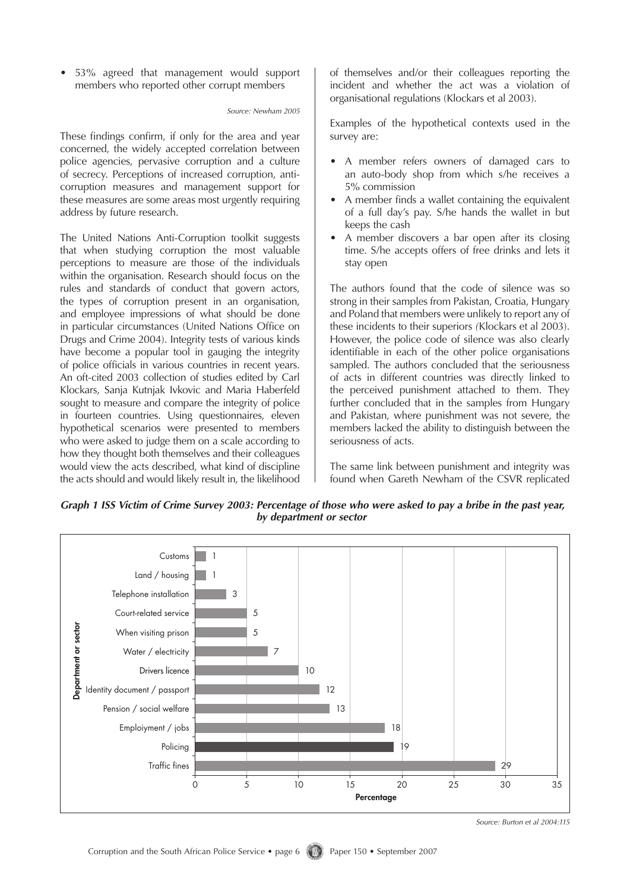53% agreed that management would support members who reported other corrupt members

#### *Source: Newham 2005*

These findings confirm, if only for the area and year concerned, the widely accepted correlation between police agencies, pervasive corruption and a culture of secrecy. Perceptions of increased corruption, anticorruption measures and management support for these measures are some areas most urgently requiring address by future research.

The United Nations Anti-Corruption toolkit suggests that when studying corruption the most valuable perceptions to measure are those of the individuals within the organisation. Research should focus on the rules and standards of conduct that govern actors, the types of corruption present in an organisation, and employee impressions of what should be done in particular circumstances (United Nations Office on Drugs and Crime 2004). Integrity tests of various kinds have become a popular tool in gauging the integrity of police officials in various countries in recent years. An oft-cited 2003 collection of studies edited by Carl Klockars, Sanja Kutnjak Ivkovic and Maria Haberfeld sought to measure and compare the integrity of police in fourteen countries. Using questionnaires, eleven hypothetical scenarios were presented to members who were asked to judge them on a scale according to how they thought both themselves and their colleagues would view the acts described, what kind of discipline the acts should and would likely result in, the likelihood of themselves and/or their colleagues reporting the incident and whether the act was a violation of organisational regulations (Klockars et al 2003).

Examples of the hypothetical contexts used in the survey are:

- A member refers owners of damaged cars to an auto-body shop from which s/he receives a 5% commission
- A member finds a wallet containing the equivalent of a full day's pay. S/he hands the wallet in but keeps the cash
- A member discovers a bar open after its closing time. S/he accepts offers of free drinks and lets it stay open •

The authors found that the code of silence was so strong in their samples from Pakistan, Croatia, Hungary and Poland that members were unlikely to report any of these incidents to their superiors *(*Klockars et al 2003). However, the police code of silence was also clearly identifiable in each of the other police organisations sampled. The authors concluded that the seriousness of acts in different countries was directly linked to the perceived punishment attached to them. They further concluded that in the samples from Hungary and Pakistan, where punishment was not severe, the members lacked the ability to distinguish between the seriousness of acts.

The same link between punishment and integrity was found when Gareth Newham of the CSVR replicated

*Graph 1 ISS Victim of Crime Survey 2003: Percentage of those who were asked to pay a bribe in the past year, by department or sector*



*Source: Burton et al 2004:115*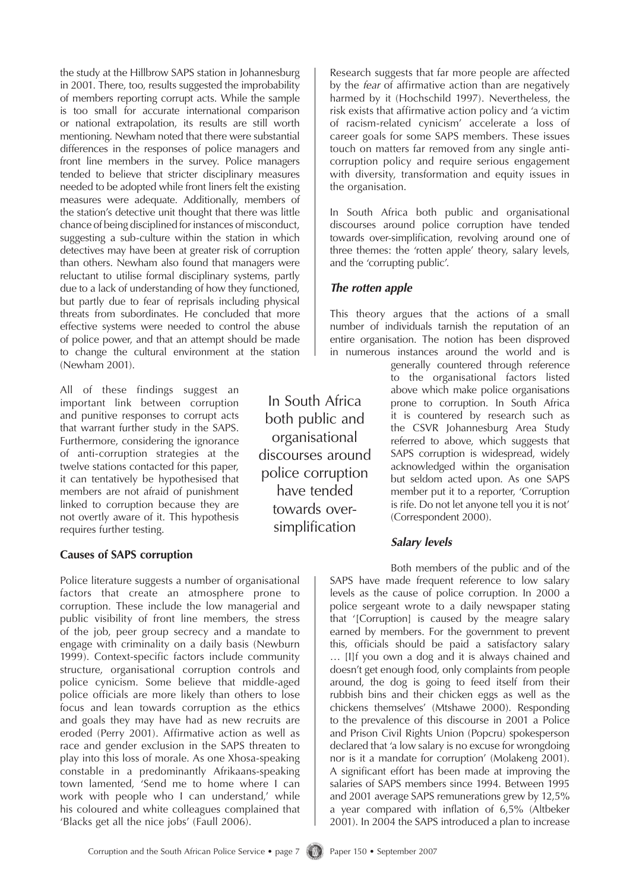the study at the Hillbrow SAPS station in Johannesburg in 2001. There, too, results suggested the improbability of members reporting corrupt acts. While the sample is too small for accurate international comparison or national extrapolation, its results are still worth mentioning. Newham noted that there were substantial differences in the responses of police managers and front line members in the survey. Police managers tended to believe that stricter disciplinary measures needed to be adopted while front liners felt the existing measures were adequate. Additionally, members of the station's detective unit thought that there was little chance of being disciplined for instances of misconduct, suggesting a sub-culture within the station in which detectives may have been at greater risk of corruption than others. Newham also found that managers were reluctant to utilise formal disciplinary systems, partly due to a lack of understanding of how they functioned, but partly due to fear of reprisals including physical threats from subordinates. He concluded that more effective systems were needed to control the abuse of police power, and that an attempt should be made to change the cultural environment at the station (Newham 2001).

All of these findings suggest an important link between corruption and punitive responses to corrupt acts that warrant further study in the SAPS. Furthermore, considering the ignorance of anti-corruption strategies at the twelve stations contacted for this paper, it can tentatively be hypothesised that members are not afraid of punishment linked to corruption because they are not overtly aware of it. This hypothesis requires further testing.

#### **Causes of SAPS corruption**

Police literature suggests a number of organisational factors that create an atmosphere prone to corruption. These include the low managerial and public visibility of front line members, the stress of the job, peer group secrecy and a mandate to engage with criminality on a daily basis (Newburn 1999). Context-specific factors include community structure, organisational corruption controls and police cynicism. Some believe that middle-aged police officials are more likely than others to lose focus and lean towards corruption as the ethics and goals they may have had as new recruits are eroded (Perry 2001). Affirmative action as well as race and gender exclusion in the SAPS threaten to play into this loss of morale. As one Xhosa-speaking constable in a predominantly Afrikaans-speaking town lamented, 'Send me to home where I can work with people who I can understand,' while his coloured and white colleagues complained that 'Blacks get all the nice jobs' (Faull 2006).

In South Africa both public and organisational discourses around police corruption have tended towards oversimplification

Research suggests that far more people are affected by the *fear* of affirmative action than are negatively harmed by it (Hochschild 1997). Nevertheless, the risk exists that affirmative action policy and 'a victim of racism-related cynicism' accelerate a loss of career goals for some SAPS members. These issues touch on matters far removed from any single anticorruption policy and require serious engagement with diversity, transformation and equity issues in the organisation.

In South Africa both public and organisational discourses around police corruption have tended towards over-simplification, revolving around one of three themes: the 'rotten apple' theory, salary levels, and the 'corrupting public'.

## *The rotten apple*

This theory argues that the actions of a small number of individuals tarnish the reputation of an entire organisation. The notion has been disproved in numerous instances around the world and is

generally countered through reference to the organisational factors listed above which make police organisations prone to corruption. In South Africa it is countered by research such as the CSVR Johannesburg Area Study referred to above, which suggests that SAPS corruption is widespread, widely acknowledged within the organisation but seldom acted upon. As one SAPS member put it to a reporter, 'Corruption is rife. Do not let anyone tell you it is not' (Correspondent 2000).

## *Salary levels*

Both members of the public and of the SAPS have made frequent reference to low salary levels as the cause of police corruption. In 2000 a police sergeant wrote to a daily newspaper stating that '[Corruption] is caused by the meagre salary earned by members. For the government to prevent this, officials should be paid a satisfactory salary … [I]f you own a dog and it is always chained and doesn't get enough food, only complaints from people around, the dog is going to feed itself from their rubbish bins and their chicken eggs as well as the chickens themselves' (Mtshawe 2000). Responding to the prevalence of this discourse in 2001 a Police and Prison Civil Rights Union (Popcru) spokesperson declared that 'a low salary is no excuse for wrongdoing nor is it a mandate for corruption' (Molakeng 2001). A significant effort has been made at improving the salaries of SAPS members since 1994. Between 1995 and 2001 average SAPS remunerations grew by 12,5% a year compared with inflation of 6,5% (Altbeker 2001). In 2004 the SAPS introduced a plan to increase

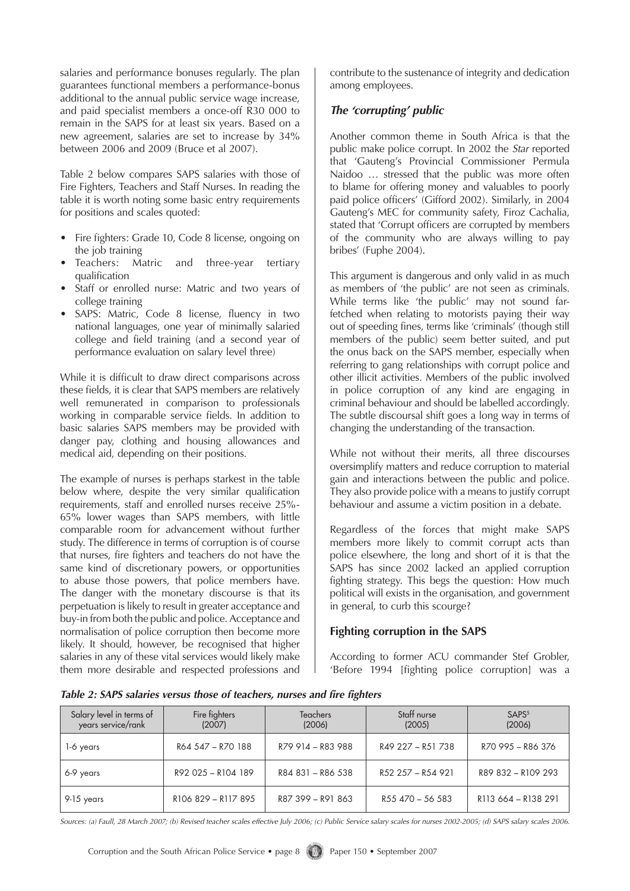salaries and performance bonuses regularly. The plan guarantees functional members a performance-bonus additional to the annual public service wage increase, and paid specialist members a once-off R30 000 to remain in the SAPS for at least six years. Based on a new agreement, salaries are set to increase by 34% between 2006 and 2009 (Bruce et al 2007).

Table 2 below compares SAPS salaries with those of Fire Fighters, Teachers and Staff Nurses. In reading the table it is worth noting some basic entry requirements for positions and scales quoted:

- Fire fighters: Grade 10, Code 8 license, ongoing on the job training<br>Teachers: Ma •
- Matric and three-year tertiary qualification •
- Staff or enrolled nurse: Matric and two years of college training
- SAPS: Matric, Code 8 license, fluency in two national languages, one year of minimally salaried college and field training (and a second year of performance evaluation on salary level three)

While it is difficult to draw direct comparisons across these fields, it is clear that SAPS members are relatively well remunerated in comparison to professionals working in comparable service fields. In addition to basic salaries SAPS members may be provided with danger pay, clothing and housing allowances and medical aid, depending on their positions.

The example of nurses is perhaps starkest in the table below where, despite the very similar qualification requirements, staff and enrolled nurses receive 25%- 65% lower wages than SAPS members, with little comparable room for advancement without further study. The difference in terms of corruption is of course that nurses, fire fighters and teachers do not have the same kind of discretionary powers, or opportunities to abuse those powers, that police members have. The danger with the monetary discourse is that its perpetuation is likely to result in greater acceptance and buy-in from both the public and police. Acceptance and normalisation of police corruption then become more likely. It should, however, be recognised that higher salaries in any of these vital services would likely make them more desirable and respected professions and contribute to the sustenance of integrity and dedication among employees.

## *The 'corrupting' public*

Another common theme in South Africa is that the public make police corrupt. In 2002 the *Star* reported that 'Gauteng's Provincial Commissioner Permula Naidoo … stressed that the public was more often to blame for offering money and valuables to poorly paid police officers' (Gifford 2002). Similarly, in 2004 Gauteng's MEC for community safety, Firoz Cachalia, stated that 'Corrupt officers are corrupted by members of the community who are always willing to pay bribes' (Fuphe 2004).

This argument is dangerous and only valid in as much as members of 'the public' are not seen as criminals. While terms like 'the public' may not sound farfetched when relating to motorists paying their way out of speeding fines, terms like 'criminals' (though still members of the public) seem better suited, and put the onus back on the SAPS member, especially when referring to gang relationships with corrupt police and other illicit activities. Members of the public involved in police corruption of any kind are engaging in criminal behaviour and should be labelled accordingly. The subtle discoursal shift goes a long way in terms of changing the understanding of the transaction.

While not without their merits, all three discourses oversimplify matters and reduce corruption to material gain and interactions between the public and police. They also provide police with a means to justify corrupt behaviour and assume a victim position in a debate.

Regardless of the forces that might make SAPS members more likely to commit corrupt acts than police elsewhere, the long and short of it is that the SAPS has since 2002 lacked an applied corruption fighting strategy. This begs the question: How much political will exists in the organisation, and government in general, to curb this scourge?

## **Fighting corruption in the SAPS**

According to former ACU commander Stef Grobler, 'Before 1994 [fighting police corruption] was a

| Salary level in terms of<br>years service/rank | Fire fighters<br>(2007) | <b>Teachers</b><br>(2006) | Staff nurse<br>(2005) | SAPS <sup>5</sup><br>(2006)                 |  |
|------------------------------------------------|-------------------------|---------------------------|-----------------------|---------------------------------------------|--|
| 1-6 years                                      | R64 547 - R70 188       | R79 914 - R83 988         | R49 227 - R51 738     | R70 995 - R86 376                           |  |
| 6-9 years                                      | R92 025 - R104 189      | R84 831 - R86 538         | R52 257 - R54 921     | R89 832 - R109 293                          |  |
| 9-15 years                                     | R106 829 - R117 895     | R87 399 - R91 863         | R55 470 - 56 583      | R <sub>113</sub> 664 - R <sub>138</sub> 291 |  |

*Table 2: SAPS salaries versus those of teachers, nurses and fire fighters*

*Sources: (a) Faull, 28 March 2007; (b) Revised teacher scales effective July 2006; (c) Public Service salary scales for nurses 2002-2005; (d) SAPS salary scales 2006.*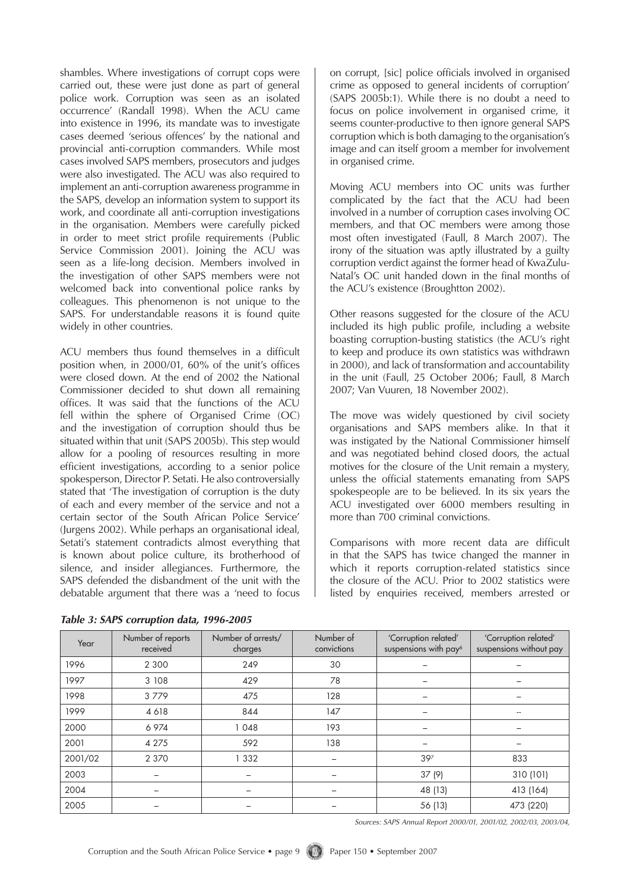shambles. Where investigations of corrupt cops were carried out, these were just done as part of general police work. Corruption was seen as an isolated occurrence' (Randall 1998). When the ACU came into existence in 1996, its mandate was to investigate cases deemed 'serious offences' by the national and provincial anti-corruption commanders. While most cases involved SAPS members, prosecutors and judges were also investigated. The ACU was also required to implement an anti-corruption awareness programme in the SAPS, develop an information system to support its work, and coordinate all anti-corruption investigations in the organisation. Members were carefully picked in order to meet strict profile requirements (Public Service Commission 2001). Joining the ACU was seen as a life-long decision. Members involved in the investigation of other SAPS members were not welcomed back into conventional police ranks by colleagues. This phenomenon is not unique to the SAPS. For understandable reasons it is found quite widely in other countries.

ACU members thus found themselves in a difficult position when, in 2000/01, 60% of the unit's offices were closed down. At the end of 2002 the National Commissioner decided to shut down all remaining offices. It was said that the functions of the ACU fell within the sphere of Organised Crime (OC) and the investigation of corruption should thus be situated within that unit (SAPS 2005b). This step would allow for a pooling of resources resulting in more efficient investigations, according to a senior police spokesperson, Director P. Setati. He also controversially stated that 'The investigation of corruption is the duty of each and every member of the service and not a certain sector of the South African Police Service' (Jurgens 2002). While perhaps an organisational ideal, Setati's statement contradicts almost everything that is known about police culture, its brotherhood of silence, and insider allegiances. Furthermore, the SAPS defended the disbandment of the unit with the debatable argument that there was a 'need to focus

| Table 3: SAPS corruption data, 1996-2005 |  |  |  |
|------------------------------------------|--|--|--|
|------------------------------------------|--|--|--|

on corrupt, [sic] police officials involved in organised crime as opposed to general incidents of corruption' (SAPS 2005b:1). While there is no doubt a need to focus on police involvement in organised crime, it seems counter-productive to then ignore general SAPS corruption which is both damaging to the organisation's image and can itself groom a member for involvement in organised crime.

Moving ACU members into OC units was further complicated by the fact that the ACU had been involved in a number of corruption cases involving OC members, and that OC members were among those most often investigated (Faull, 8 March 2007). The irony of the situation was aptly illustrated by a guilty corruption verdict against the former head of KwaZulu-Natal's OC unit handed down in the final months of the ACU's existence (Broughtton 2002).

Other reasons suggested for the closure of the ACU included its high public profile, including a website boasting corruption-busting statistics (the ACU's right to keep and produce its own statistics was withdrawn in 2000), and lack of transformation and accountability in the unit (Faull, 25 October 2006; Faull, 8 March 2007; Van Vuuren, 18 November 2002).

The move was widely questioned by civil society organisations and SAPS members alike. In that it was instigated by the National Commissioner himself and was negotiated behind closed doors, the actual motives for the closure of the Unit remain a mystery, unless the official statements emanating from SAPS spokespeople are to be believed. In its six years the ACU investigated over 6000 members resulting in more than 700 criminal convictions.

Comparisons with more recent data are difficult in that the SAPS has twice changed the manner in which it reports corruption-related statistics since the closure of the ACU. Prior to 2002 statistics were listed by enquiries received, members arrested or

| Year    | Number of reports<br>received | Number of arrests/<br>charges | Number of<br>convictions | 'Corruption related'<br>suspensions with pay <sup>6</sup> | 'Corruption related'<br>suspensions without pay |
|---------|-------------------------------|-------------------------------|--------------------------|-----------------------------------------------------------|-------------------------------------------------|
| 1996    | 2 3 0 0                       | 249                           | 30                       |                                                           |                                                 |
| 1997    | 3 108                         | 429                           | 78                       |                                                           |                                                 |
| 1998    | 3779                          | 475                           | 128                      | -                                                         |                                                 |
| 1999    | 4 6 18                        | 844                           | 147                      |                                                           | --                                              |
| 2000    | 6 974                         | 1048                          | 193                      |                                                           |                                                 |
| 2001    | 4 2 7 5                       | 592                           | 138                      |                                                           |                                                 |
| 2001/02 | 2 3 7 0                       | 1 3 3 2                       | -                        | 397                                                       | 833                                             |
| 2003    |                               |                               |                          | 37(9)                                                     | 310 (101)                                       |
| 2004    |                               |                               |                          | 48 (13)                                                   | 413 (164)                                       |
| 2005    |                               |                               |                          | 56 (13)                                                   | 473 (220)                                       |

*Sources: SAPS Annual Report 2000/01, 2001/02, 2002/03, 2003/04,*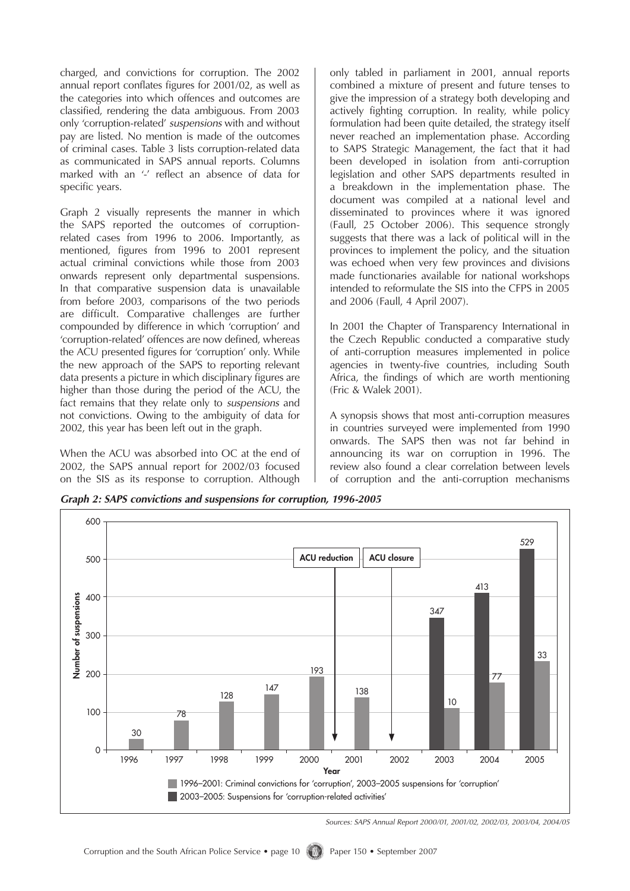charged, and convictions for corruption. The 2002 annual report conflates figures for 2001/02, as well as the categories into which offences and outcomes are classified, rendering the data ambiguous. From 2003 only 'corruption-related' *suspensions* with and without pay are listed. No mention is made of the outcomes of criminal cases. Table 3 lists corruption-related data as communicated in SAPS annual reports. Columns marked with an '-' reflect an absence of data for specific years.

Graph 2 visually represents the manner in which the SAPS reported the outcomes of corruptionrelated cases from 1996 to 2006. Importantly, as mentioned, figures from 1996 to 2001 represent actual criminal convictions while those from 2003 onwards represent only departmental suspensions. In that comparative suspension data is unavailable from before 2003, comparisons of the two periods are difficult. Comparative challenges are further compounded by difference in which 'corruption' and 'corruption-related' offences are now defined, whereas the ACU presented figures for 'corruption' only. While the new approach of the SAPS to reporting relevant data presents a picture in which disciplinary figures are higher than those during the period of the ACU, the fact remains that they relate only to *suspensions* and not convictions. Owing to the ambiguity of data for 2002, this year has been left out in the graph.

When the ACU was absorbed into OC at the end of 2002, the SAPS annual report for 2002/03 focused on the SIS as its response to corruption. Although only tabled in parliament in 2001, annual reports combined a mixture of present and future tenses to give the impression of a strategy both developing and actively fighting corruption. In reality, while policy formulation had been quite detailed, the strategy itself never reached an implementation phase. According to SAPS Strategic Management, the fact that it had been developed in isolation from anti-corruption legislation and other SAPS departments resulted in a breakdown in the implementation phase. The document was compiled at a national level and disseminated to provinces where it was ignored (Faull, 25 October 2006). This sequence strongly suggests that there was a lack of political will in the provinces to implement the policy, and the situation was echoed when very few provinces and divisions made functionaries available for national workshops intended to reformulate the SIS into the CFPS in 2005 and 2006 (Faull, 4 April 2007).

In 2001 the Chapter of Transparency International in the Czech Republic conducted a comparative study of anti-corruption measures implemented in police agencies in twenty-five countries, including South Africa, the findings of which are worth mentioning (Fric & Walek 2001).

A synopsis shows that most anti-corruption measures in countries surveyed were implemented from 1990 onwards. The SAPS then was not far behind in announcing its war on corruption in 1996. The review also found a clear correlation between levels of corruption and the anti-corruption mechanisms

*Graph 2: SAPS convictions and suspensions for corruption, 1996-2005*



*Sources: SAPS Annual Report 2000/01, 2001/02, 2002/03, 2003/04, 2004/05*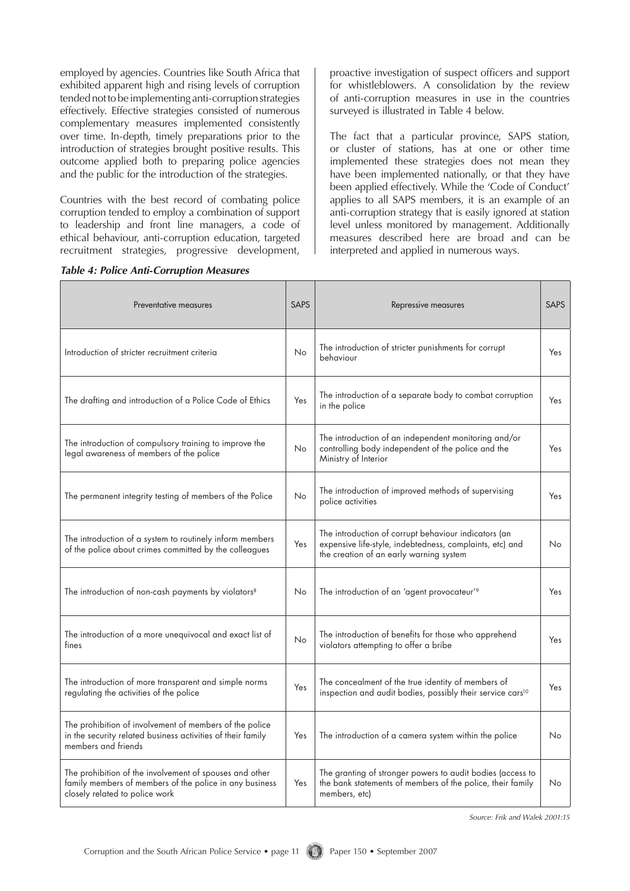employed by agencies. Countries like South Africa that exhibited apparent high and rising levels of corruption tended not to be implementing anti-corruption strategies effectively. Effective strategies consisted of numerous complementary measures implemented consistently over time. In-depth, timely preparations prior to the introduction of strategies brought positive results. This outcome applied both to preparing police agencies and the public for the introduction of the strategies.

Countries with the best record of combating police corruption tended to employ a combination of support to leadership and front line managers, a code of ethical behaviour, anti-corruption education, targeted recruitment strategies, progressive development,

proactive investigation of suspect officers and support for whistleblowers. A consolidation by the review of anti-corruption measures in use in the countries surveyed is illustrated in Table 4 below.

The fact that a particular province, SAPS station, or cluster of stations, has at one or other time implemented these strategies does not mean they have been implemented nationally, or that they have been applied effectively. While the 'Code of Conduct' applies to all SAPS members, it is an example of an anti-corruption strategy that is easily ignored at station level unless monitored by management. Additionally measures described here are broad and can be interpreted and applied in numerous ways.

| Preventative measures                                                                                                                                | <b>SAPS</b> | Repressive measures                                                                                                                                         | <b>SAPS</b> |
|------------------------------------------------------------------------------------------------------------------------------------------------------|-------------|-------------------------------------------------------------------------------------------------------------------------------------------------------------|-------------|
| Introduction of stricter recruitment criteria                                                                                                        | No          | The introduction of stricter punishments for corrupt<br>behaviour                                                                                           | Yes         |
| The drafting and introduction of a Police Code of Ethics                                                                                             | Yes         | The introduction of a separate body to combat corruption<br>in the police                                                                                   | Yes         |
| The introduction of compulsory training to improve the<br>legal awareness of members of the police                                                   | No          | The introduction of an independent monitoring and/or<br>controlling body independent of the police and the<br>Ministry of Interior                          | Yes         |
| The permanent integrity testing of members of the Police                                                                                             | No          | The introduction of improved methods of supervising<br>police activities                                                                                    | Yes         |
| The introduction of a system to routinely inform members<br>of the police about crimes committed by the colleagues                                   | Yes         | The introduction of corrupt behaviour indicators (an<br>expensive life-style, indebtedness, complaints, etc) and<br>the creation of an early warning system | No.         |
| The introduction of non-cash payments by violators <sup>8</sup>                                                                                      | No          | The introduction of an 'agent provocateur' <sup>9</sup>                                                                                                     | Yes         |
| The introduction of a more unequivocal and exact list of<br>fines                                                                                    | <b>No</b>   | The introduction of benefits for those who apprehend<br>violators attempting to offer a bribe                                                               | Yes         |
| The introduction of more transparent and simple norms<br>regulating the activities of the police                                                     | Yes         | The concealment of the true identity of members of<br>inspection and audit bodies, possibly their service cars <sup>10</sup>                                | Yes         |
| The prohibition of involvement of members of the police<br>in the security related business activities of their family<br>members and friends        | Yes         | The introduction of a camera system within the police                                                                                                       | No          |
| The prohibition of the involvement of spouses and other<br>family members of members of the police in any business<br>closely related to police work | Yes         | The granting of stronger powers to audit bodies (access to<br>the bank statements of members of the police, their family<br>members, etc)                   | No          |

*Source: Frik and Walek 2001:15*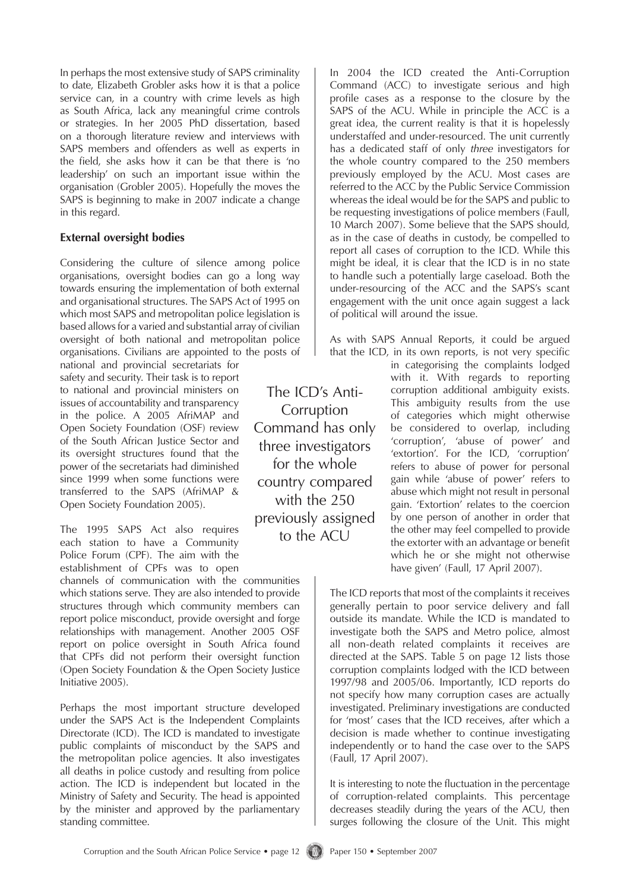In perhaps the most extensive study of SAPS criminality to date, Elizabeth Grobler asks how it is that a police service can, in a country with crime levels as high as South Africa, lack any meaningful crime controls or strategies. In her 2005 PhD dissertation, based on a thorough literature review and interviews with SAPS members and offenders as well as experts in the field, she asks how it can be that there is 'no leadership' on such an important issue within the organisation (Grobler 2005). Hopefully the moves the SAPS is beginning to make in 2007 indicate a change in this regard.

#### **External oversight bodies**

Considering the culture of silence among police organisations, oversight bodies can go a long way towards ensuring the implementation of both external and organisational structures. The SAPS Act of 1995 on which most SAPS and metropolitan police legislation is based allows for a varied and substantial array of civilian oversight of both national and metropolitan police organisations. Civilians are appointed to the posts of

national and provincial secretariats for safety and security. Their task is to report to national and provincial ministers on issues of accountability and transparency in the police. A 2005 AfriMAP and Open Society Foundation (OSF) review of the South African Justice Sector and its oversight structures found that the power of the secretariats had diminished since 1999 when some functions were transferred to the SAPS (AfriMAP & Open Society Foundation 2005).

The 1995 SAPS Act also requires each station to have a Community Police Forum (CPF). The aim with the establishment of CPFs was to open

channels of communication with the communities which stations serve. They are also intended to provide structures through which community members can report police misconduct, provide oversight and forge relationships with management. Another 2005 OSF report on police oversight in South Africa found that CPFs did not perform their oversight function (Open Society Foundation & the Open Society Justice Initiative 2005).

Perhaps the most important structure developed under the SAPS Act is the Independent Complaints Directorate (ICD). The ICD is mandated to investigate public complaints of misconduct by the SAPS and the metropolitan police agencies. It also investigates all deaths in police custody and resulting from police action. The ICD is independent but located in the Ministry of Safety and Security. The head is appointed by the minister and approved by the parliamentary standing committee.

The ICD's Anti-Corruption Command has only three investigators for the whole country compared with the 250 previously assigned to the ACU

In 2004 the ICD created the Anti-Corruption Command (ACC) to investigate serious and high profile cases as a response to the closure by the SAPS of the ACU. While in principle the ACC is a great idea, the current reality is that it is hopelessly understaffed and under-resourced. The unit currently has a dedicated staff of only *three* investigators for the whole country compared to the 250 members previously employed by the ACU. Most cases are referred to the ACC by the Public Service Commission whereas the ideal would be for the SAPS and public to be requesting investigations of police members (Faull, 10 March 2007). Some believe that the SAPS should, as in the case of deaths in custody, be compelled to report all cases of corruption to the ICD. While this might be ideal, it is clear that the ICD is in no state to handle such a potentially large caseload. Both the under-resourcing of the ACC and the SAPS's scant engagement with the unit once again suggest a lack of political will around the issue.

As with SAPS Annual Reports, it could be argued that the ICD, in its own reports, is not very specific

in categorising the complaints lodged with it. With regards to reporting corruption additional ambiguity exists. This ambiguity results from the use of categories which might otherwise be considered to overlap, including 'corruption', 'abuse of power' and 'extortion'. For the ICD, 'corruption' refers to abuse of power for personal gain while 'abuse of power' refers to abuse which might not result in personal gain. 'Extortion' relates to the coercion by one person of another in order that the other may feel compelled to provide the extorter with an advantage or benefit which he or she might not otherwise have given' (Faull, 17 April 2007).

The ICD reports that most of the complaints it receives generally pertain to poor service delivery and fall outside its mandate. While the ICD is mandated to investigate both the SAPS and Metro police, almost all non-death related complaints it receives are directed at the SAPS. Table 5 on page 12 lists those corruption complaints lodged with the ICD between 1997/98 and 2005/06. Importantly, ICD reports do not specify how many corruption cases are actually investigated. Preliminary investigations are conducted for 'most' cases that the ICD receives, after which a decision is made whether to continue investigating independently or to hand the case over to the SAPS (Faull, 17 April 2007).

It is interesting to note the fluctuation in the percentage of corruption-related complaints. This percentage decreases steadily during the years of the ACU, then surges following the closure of the Unit. This might

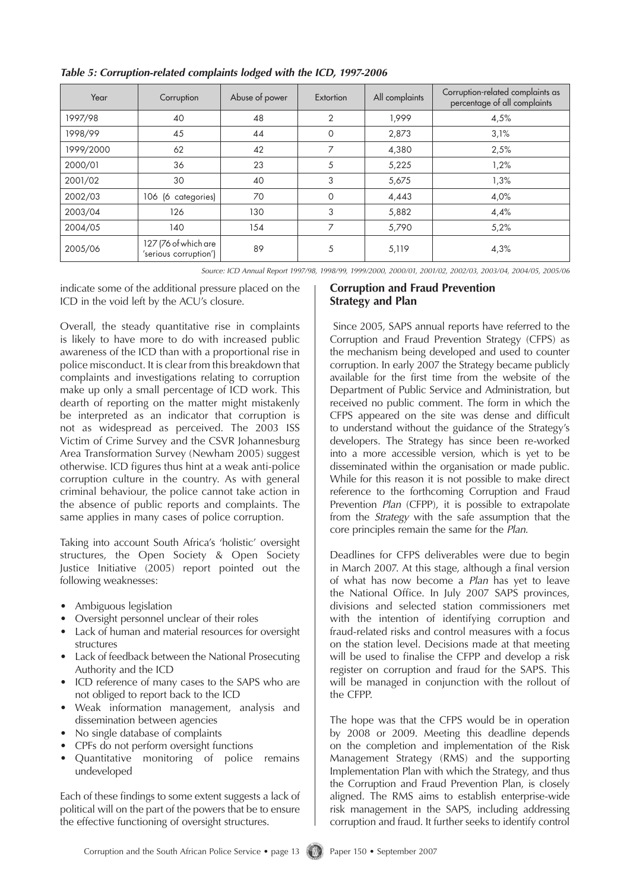| Year      | Corruption                                    | Abuse of power | Extortion      | All complaints | Corruption-related complaints as<br>percentage of all complaints |
|-----------|-----------------------------------------------|----------------|----------------|----------------|------------------------------------------------------------------|
| 1997/98   | 40                                            | 48             | $\overline{2}$ | 1.999          | 4,5%                                                             |
| 1998/99   | 45                                            | 44             | 0              | 2,873          | 3,1%                                                             |
| 1999/2000 | 62                                            | 42             | $\overline{ }$ | 4,380          | 2,5%                                                             |
| 2000/01   | 36                                            | 23             | 5              | 5,225          | 1,2%                                                             |
| 2001/02   | 30                                            | 40             | 3              | 5,675          | 1,3%                                                             |
| 2002/03   | 106 (6 categories)                            | 70             | $\Omega$       | 4,443          | 4,0%                                                             |
| 2003/04   | 126                                           | 130            | 3              | 5,882          | 4,4%                                                             |
| 2004/05   | 140                                           | 154            | 7              | 5,790          | 5,2%                                                             |
| 2005/06   | 127 (76 of which are<br>'serious corruption') | 89             | 5              | 5,119          | 4,3%                                                             |

#### *Table 5: Corruption-related complaints lodged with the ICD, 1997-2006*

*Source: ICD Annual Report 1997/98, 1998/99, 1999/2000, 2000/01, 2001/02, 2002/03, 2003/04, 2004/05, 2005/06*

indicate some of the additional pressure placed on the ICD in the void left by the ACU's closure.

Overall, the steady quantitative rise in complaints is likely to have more to do with increased public awareness of the ICD than with a proportional rise in police misconduct. It is clear from this breakdown that complaints and investigations relating to corruption make up only a small percentage of ICD work. This dearth of reporting on the matter might mistakenly be interpreted as an indicator that corruption is not as widespread as perceived. The 2003 ISS Victim of Crime Survey and the CSVR Johannesburg Area Transformation Survey (Newham 2005) suggest otherwise. ICD figures thus hint at a weak anti-police corruption culture in the country. As with general criminal behaviour, the police cannot take action in the absence of public reports and complaints. The same applies in many cases of police corruption.

Taking into account South Africa's 'holistic' oversight structures, the Open Society & Open Society Justice Initiative (2005) report pointed out the following weaknesses:

- Ambiguous legislation
- Oversight personnel unclear of their roles
- Lack of human and material resources for oversight structures
- Lack of feedback between the National Prosecuting Authority and the ICD
- ICD reference of many cases to the SAPS who are not obliged to report back to the ICD
- Weak information management, analysis and dissemination between agencies
- No single database of complaints
- CPFs do not perform oversight functions
- Quantitative monitoring of police remains undeveloped •

Each of these findings to some extent suggests a lack of political will on the part of the powers that be to ensure the effective functioning of oversight structures.

#### **Corruption and Fraud Prevention Strategy and Plan**

 Since 2005, SAPS annual reports have referred to the Corruption and Fraud Prevention Strategy (CFPS) as the mechanism being developed and used to counter corruption. In early 2007 the Strategy became publicly available for the first time from the website of the Department of Public Service and Administration, but received no public comment. The form in which the CFPS appeared on the site was dense and difficult to understand without the guidance of the Strategy's developers. The Strategy has since been re-worked into a more accessible version, which is yet to be disseminated within the organisation or made public. While for this reason it is not possible to make direct reference to the forthcoming Corruption and Fraud Prevention *Plan* (CFPP), it is possible to extrapolate from the *Strategy* with the safe assumption that the core principles remain the same for the *Plan.*

Deadlines for CFPS deliverables were due to begin in March 2007. At this stage, although a final version of what has now become a *Plan* has yet to leave the National Office. In July 2007 SAPS provinces, divisions and selected station commissioners met with the intention of identifying corruption and fraud-related risks and control measures with a focus on the station level. Decisions made at that meeting will be used to finalise the CFPP and develop a risk register on corruption and fraud for the SAPS. This will be managed in conjunction with the rollout of the CFPP.

The hope was that the CFPS would be in operation by 2008 or 2009. Meeting this deadline depends on the completion and implementation of the Risk Management Strategy (RMS) and the supporting Implementation Plan with which the Strategy, and thus the Corruption and Fraud Prevention Plan, is closely aligned. The RMS aims to establish enterprise-wide risk management in the SAPS, including addressing corruption and fraud. It further seeks to identify control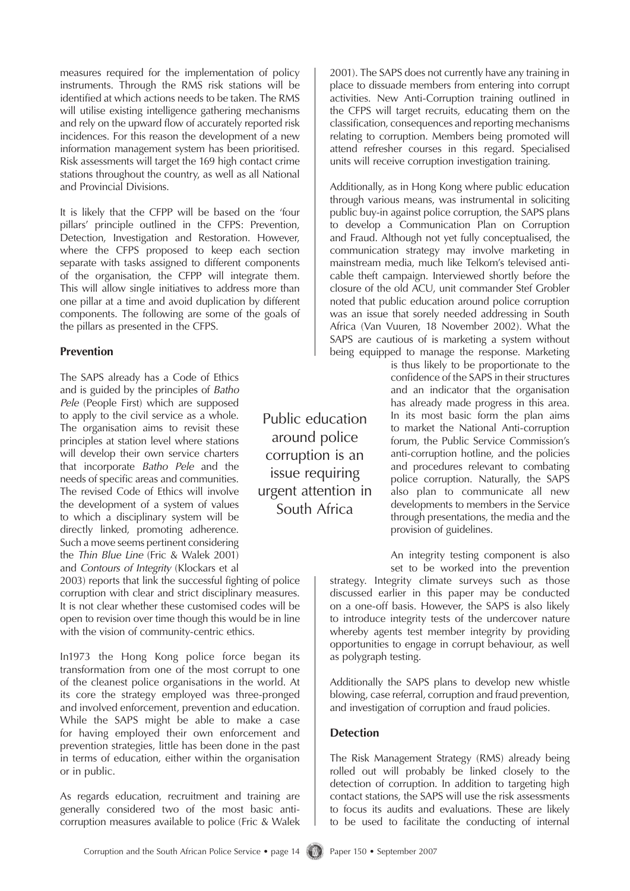measures required for the implementation of policy instruments. Through the RMS risk stations will be identified at which actions needs to be taken. The RMS will utilise existing intelligence gathering mechanisms and rely on the upward flow of accurately reported risk incidences. For this reason the development of a new information management system has been prioritised. Risk assessments will target the 169 high contact crime stations throughout the country, as well as all National and Provincial Divisions.

It is likely that the CFPP will be based on the 'four pillars' principle outlined in the CFPS: Prevention, Detection, Investigation and Restoration. However, where the CFPS proposed to keep each section separate with tasks assigned to different components of the organisation, the CFPP will integrate them. This will allow single initiatives to address more than one pillar at a time and avoid duplication by different components. The following are some of the goals of the pillars as presented in the CFPS.

#### **Prevention**

The SAPS already has a Code of Ethics and is guided by the principles of *Batho Pele* (People First) which are supposed to apply to the civil service as a whole. The organisation aims to revisit these principles at station level where stations will develop their own service charters that incorporate *Batho Pele* and the needs of specific areas and communities. The revised Code of Ethics will involve the development of a system of values to which a disciplinary system will be directly linked, promoting adherence. Such a move seems pertinent considering the *Thin Blue Line* (Fric & Walek 2001) and *Contours of Integrity* (Klockars et al

2003) reports that link the successful fighting of police corruption with clear and strict disciplinary measures. It is not clear whether these customised codes will be open to revision over time though this would be in line with the vision of community-centric ethics.

In1973 the Hong Kong police force began its transformation from one of the most corrupt to one of the cleanest police organisations in the world. At its core the strategy employed was three-pronged and involved enforcement, prevention and education. While the SAPS might be able to make a case for having employed their own enforcement and prevention strategies, little has been done in the past in terms of education, either within the organisation or in public.

As regards education, recruitment and training are generally considered two of the most basic anticorruption measures available to police (Fric & Walek

Public education around police corruption is an issue requiring urgent attention in South Africa

2001). The SAPS does not currently have any training in place to dissuade members from entering into corrupt activities. New Anti-Corruption training outlined in the CFPS will target recruits, educating them on the classification, consequences and reporting mechanisms relating to corruption. Members being promoted will attend refresher courses in this regard. Specialised units will receive corruption investigation training.

Additionally, as in Hong Kong where public education through various means, was instrumental in soliciting public buy-in against police corruption, the SAPS plans to develop a Communication Plan on Corruption and Fraud. Although not yet fully conceptualised, the communication strategy may involve marketing in mainstream media, much like Telkom's televised anticable theft campaign. Interviewed shortly before the closure of the old ACU, unit commander Stef Grobler noted that public education around police corruption was an issue that sorely needed addressing in South Africa (Van Vuuren, 18 November 2002). What the SAPS are cautious of is marketing a system without being equipped to manage the response. Marketing

> is thus likely to be proportionate to the confidence of the SAPS in their structures and an indicator that the organisation has already made progress in this area. In its most basic form the plan aims to market the National Anti-corruption forum, the Public Service Commission's anti-corruption hotline, and the policies and procedures relevant to combating police corruption. Naturally, the SAPS also plan to communicate all new developments to members in the Service through presentations, the media and the provision of guidelines.

An integrity testing component is also

set to be worked into the prevention strategy. Integrity climate surveys such as those discussed earlier in this paper may be conducted on a one-off basis. However, the SAPS is also likely to introduce integrity tests of the undercover nature whereby agents test member integrity by providing opportunities to engage in corrupt behaviour, as well as polygraph testing.

Additionally the SAPS plans to develop new whistle blowing, case referral, corruption and fraud prevention, and investigation of corruption and fraud policies.

## **Detection**

The Risk Management Strategy (RMS) already being rolled out will probably be linked closely to the detection of corruption. In addition to targeting high contact stations, the SAPS will use the risk assessments to focus its audits and evaluations. These are likely to be used to facilitate the conducting of internal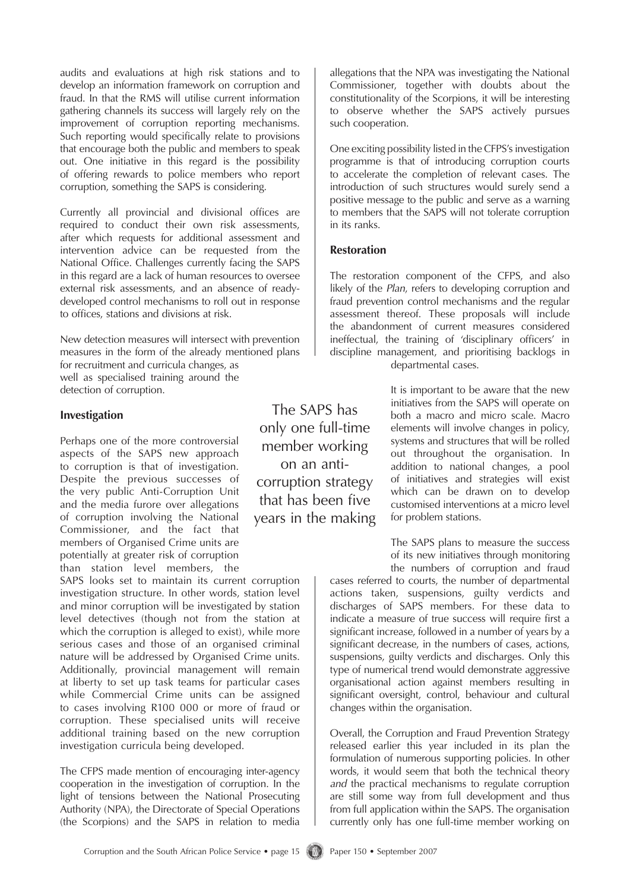audits and evaluations at high risk stations and to develop an information framework on corruption and fraud. In that the RMS will utilise current information gathering channels its success will largely rely on the improvement of corruption reporting mechanisms. Such reporting would specifically relate to provisions that encourage both the public and members to speak out. One initiative in this regard is the possibility of offering rewards to police members who report corruption, something the SAPS is considering.

Currently all provincial and divisional offices are required to conduct their own risk assessments, after which requests for additional assessment and intervention advice can be requested from the National Office. Challenges currently facing the SAPS in this regard are a lack of human resources to oversee external risk assessments, and an absence of readydeveloped control mechanisms to roll out in response to offices, stations and divisions at risk.

New detection measures will intersect with prevention measures in the form of the already mentioned plans for recruitment and curricula changes, as well as specialised training around the detection of corruption.

#### **Investigation**

Perhaps one of the more controversial aspects of the SAPS new approach to corruption is that of investigation. Despite the previous successes of the very public Anti-Corruption Unit and the media furore over allegations of corruption involving the National Commissioner, and the fact that members of Organised Crime units are potentially at greater risk of corruption than station level members, the

SAPS looks set to maintain its current corruption investigation structure. In other words, station level and minor corruption will be investigated by station level detectives (though not from the station at which the corruption is alleged to exist), while more serious cases and those of an organised criminal nature will be addressed by Organised Crime units. Additionally, provincial management will remain at liberty to set up task teams for particular cases while Commercial Crime units can be assigned to cases involving R100 000 or more of fraud or corruption. These specialised units will receive additional training based on the new corruption investigation curricula being developed.

The CFPS made mention of encouraging inter-agency cooperation in the investigation of corruption. In the light of tensions between the National Prosecuting Authority (NPA), the Directorate of Special Operations (the Scorpions) and the SAPS in relation to media

The SAPS has only one full-time member working on an anticorruption strategy that has been five years in the making

allegations that the NPA was investigating the National Commissioner, together with doubts about the constitutionality of the Scorpions, it will be interesting to observe whether the SAPS actively pursues such cooperation.

One exciting possibility listed in the CFPS's investigation programme is that of introducing corruption courts to accelerate the completion of relevant cases. The introduction of such structures would surely send a positive message to the public and serve as a warning to members that the SAPS will not tolerate corruption in its ranks.

#### **Restoration**

The restoration component of the CFPS, and also likely of the *Plan*, refers to developing corruption and fraud prevention control mechanisms and the regular assessment thereof. These proposals will include the abandonment of current measures considered ineffectual, the training of 'disciplinary officers' in discipline management, and prioritising backlogs in departmental cases.

> It is important to be aware that the new initiatives from the SAPS will operate on both a macro and micro scale. Macro elements will involve changes in policy, systems and structures that will be rolled out throughout the organisation. In addition to national changes, a pool of initiatives and strategies will exist which can be drawn on to develop customised interventions at a micro level for problem stations.

> The SAPS plans to measure the success of its new initiatives through monitoring the numbers of corruption and fraud

cases referred to courts, the number of departmental actions taken, suspensions, guilty verdicts and discharges of SAPS members. For these data to indicate a measure of true success will require first a significant increase, followed in a number of years by a significant decrease, in the numbers of cases, actions, suspensions, guilty verdicts and discharges. Only this type of numerical trend would demonstrate aggressive organisational action against members resulting in significant oversight, control, behaviour and cultural changes within the organisation.

Overall, the Corruption and Fraud Prevention Strategy released earlier this year included in its plan the formulation of numerous supporting policies. In other words, it would seem that both the technical theory *and* the practical mechanisms to regulate corruption are still some way from full development and thus from full application within the SAPS. The organisation currently only has one full-time member working on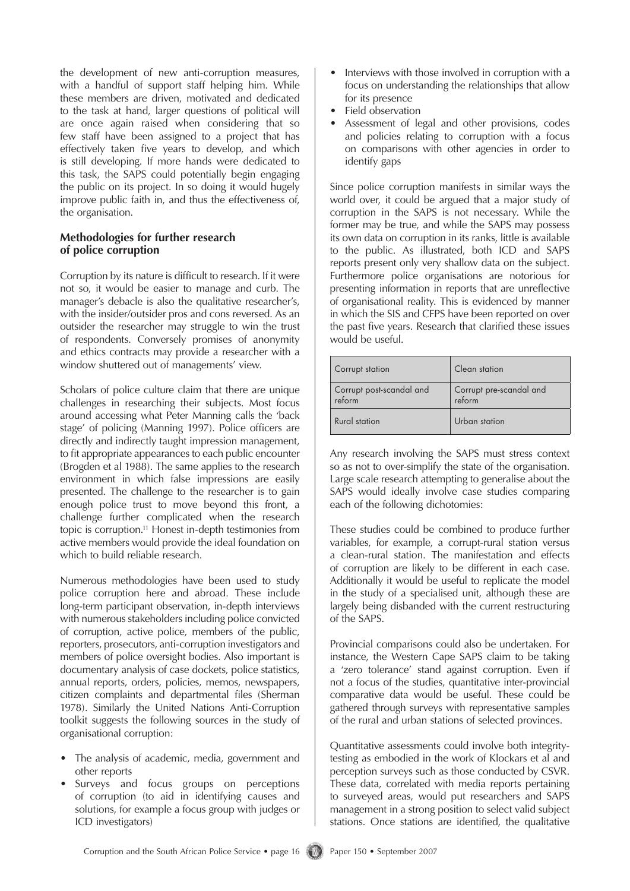the development of new anti-corruption measures, with a handful of support staff helping him. While these members are driven, motivated and dedicated to the task at hand, larger questions of political will are once again raised when considering that so few staff have been assigned to a project that has effectively taken five years to develop, and which is still developing. If more hands were dedicated to this task, the SAPS could potentially begin engaging the public on its project. In so doing it would hugely improve public faith in, and thus the effectiveness of, the organisation.

#### **Methodologies for further research of police corruption**

Corruption by its nature is difficult to research. If it were not so, it would be easier to manage and curb. The manager's debacle is also the qualitative researcher's, with the insider/outsider pros and cons reversed. As an outsider the researcher may struggle to win the trust of respondents. Conversely promises of anonymity and ethics contracts may provide a researcher with a window shuttered out of managements' view.

Scholars of police culture claim that there are unique challenges in researching their subjects. Most focus around accessing what Peter Manning calls the 'back stage' of policing (Manning 1997). Police officers are directly and indirectly taught impression management, to fit appropriate appearances to each public encounter (Brogden et al 1988). The same applies to the research environment in which false impressions are easily presented. The challenge to the researcher is to gain enough police trust to move beyond this front, a challenge further complicated when the research topic is corruption.11 Honest in-depth testimonies from active members would provide the ideal foundation on which to build reliable research.

Numerous methodologies have been used to study police corruption here and abroad. These include long-term participant observation, in-depth interviews with numerous stakeholders including police convicted of corruption, active police, members of the public, reporters, prosecutors, anti-corruption investigators and members of police oversight bodies. Also important is documentary analysis of case dockets, police statistics, annual reports, orders, policies, memos, newspapers, citizen complaints and departmental files (Sherman 1978). Similarly the United Nations Anti-Corruption toolkit suggests the following sources in the study of organisational corruption:

- The analysis of academic, media, government and other reports •
- Surveys and focus groups on perceptions of corruption (to aid in identifying causes and solutions, for example a focus group with judges or ICD investigators) •
- Interviews with those involved in corruption with a focus on understanding the relationships that allow for its presence •
- Field observation
- Assessment of legal and other provisions, codes and policies relating to corruption with a focus on comparisons with other agencies in order to identify gaps •

Since police corruption manifests in similar ways the world over, it could be argued that a major study of corruption in the SAPS is not necessary. While the former may be true, and while the SAPS may possess its own data on corruption in its ranks, little is available to the public. As illustrated, both ICD and SAPS reports present only very shallow data on the subject. Furthermore police organisations are notorious for presenting information in reports that are unreflective of organisational reality. This is evidenced by manner in which the SIS and CFPS have been reported on over the past five years. Research that clarified these issues would be useful.

| Corrupt station                    | Clean station                     |
|------------------------------------|-----------------------------------|
| Corrupt post-scandal and<br>reform | Corrupt pre-scandal and<br>reform |
| Rural station                      | Urban station                     |

Any research involving the SAPS must stress context so as not to over-simplify the state of the organisation. Large scale research attempting to generalise about the SAPS would ideally involve case studies comparing each of the following dichotomies:

These studies could be combined to produce further variables, for example, a corrupt-rural station versus a clean-rural station. The manifestation and effects of corruption are likely to be different in each case. Additionally it would be useful to replicate the model in the study of a specialised unit, although these are largely being disbanded with the current restructuring of the SAPS.

Provincial comparisons could also be undertaken. For instance, the Western Cape SAPS claim to be taking a 'zero tolerance' stand against corruption. Even if not a focus of the studies, quantitative inter-provincial comparative data would be useful. These could be gathered through surveys with representative samples of the rural and urban stations of selected provinces.

Quantitative assessments could involve both integritytesting as embodied in the work of Klockars et al and perception surveys such as those conducted by CSVR. These data, correlated with media reports pertaining to surveyed areas, would put researchers and SAPS management in a strong position to select valid subject stations. Once stations are identified, the qualitative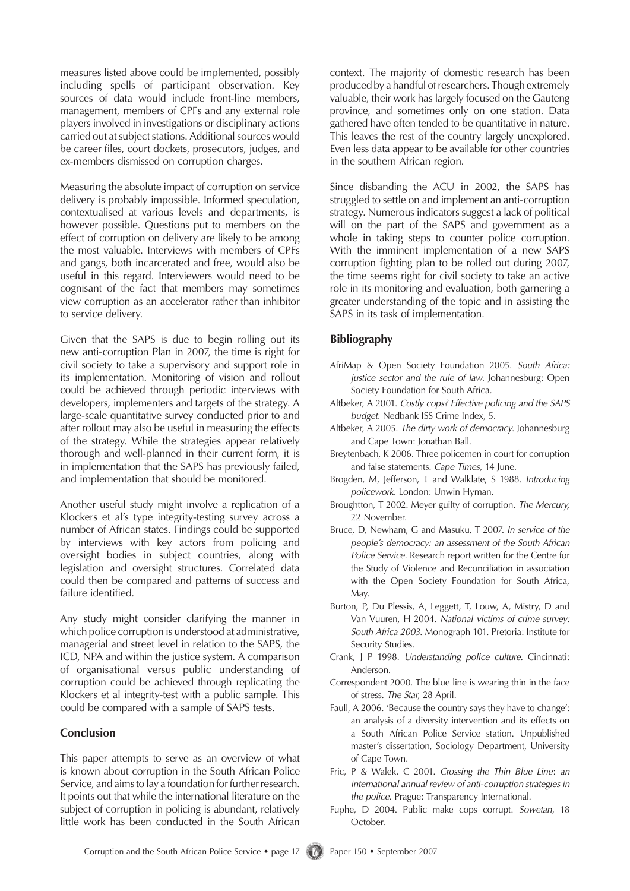measures listed above could be implemented, possibly including spells of participant observation. Key sources of data would include front-line members, management, members of CPFs and any external role players involved in investigations or disciplinary actions carried out at subject stations. Additional sources would be career files, court dockets, prosecutors, judges, and ex-members dismissed on corruption charges.

Measuring the absolute impact of corruption on service delivery is probably impossible. Informed speculation, contextualised at various levels and departments, is however possible. Questions put to members on the effect of corruption on delivery are likely to be among the most valuable. Interviews with members of CPFs and gangs, both incarcerated and free, would also be useful in this regard. Interviewers would need to be cognisant of the fact that members may sometimes view corruption as an accelerator rather than inhibitor to service delivery.

Given that the SAPS is due to begin rolling out its new anti-corruption Plan in 2007, the time is right for civil society to take a supervisory and support role in its implementation. Monitoring of vision and rollout could be achieved through periodic interviews with developers, implementers and targets of the strategy. A large-scale quantitative survey conducted prior to and after rollout may also be useful in measuring the effects of the strategy. While the strategies appear relatively thorough and well-planned in their current form, it is in implementation that the SAPS has previously failed, and implementation that should be monitored.

Another useful study might involve a replication of a Klockers et al's type integrity-testing survey across a number of African states. Findings could be supported by interviews with key actors from policing and oversight bodies in subject countries, along with legislation and oversight structures. Correlated data could then be compared and patterns of success and failure identified.

Any study might consider clarifying the manner in which police corruption is understood at administrative, managerial and street level in relation to the SAPS, the ICD, NPA and within the justice system. A comparison of organisational versus public understanding of corruption could be achieved through replicating the Klockers et al integrity-test with a public sample. This could be compared with a sample of SAPS tests.

## **Conclusion**

This paper attempts to serve as an overview of what is known about corruption in the South African Police Service, and aims to lay a foundation for further research. It points out that while the international literature on the subject of corruption in policing is abundant, relatively little work has been conducted in the South African

context. The majority of domestic research has been produced by a handful of researchers. Though extremely valuable, their work has largely focused on the Gauteng province, and sometimes only on one station. Data gathered have often tended to be quantitative in nature. This leaves the rest of the country largely unexplored. Even less data appear to be available for other countries in the southern African region.

Since disbanding the ACU in 2002, the SAPS has struggled to settle on and implement an anti-corruption strategy. Numerous indicators suggest a lack of political will on the part of the SAPS and government as a whole in taking steps to counter police corruption. With the imminent implementation of a new SAPS corruption fighting plan to be rolled out during 2007, the time seems right for civil society to take an active role in its monitoring and evaluation, both garnering a greater understanding of the topic and in assisting the SAPS in its task of implementation.

#### **Bibliography**

- AfriMap & Open Society Foundation 2005. *South Africa: justice sector and the rule of law*. Johannesburg: Open Society Foundation for South Africa.
- Altbeker, A 2001. *Costly cops? Effective policing and the SAPS budget*. Nedbank ISS Crime Index, 5.
- Altbeker, A 2005. *The dirty work of democracy*. Johannesburg and Cape Town: Jonathan Ball.
- Breytenbach, K 2006. Three policemen in court for corruption and false statements. *Cape Times*, 14 June.
- Brogden, M, Jefferson, T and Walklate, S 1988. *Introducing policework.* London: Unwin Hyman.
- Broughtton, T 2002. Meyer guilty of corruption. *The Mercury,*  22 November.
- Bruce, D, Newham, G and Masuku, T 2007. *In service of the people's democracy: an assessment of the South African Police Service*. Research report written for the Centre for the Study of Violence and Reconciliation in association with the Open Society Foundation for South Africa, May.
- Burton, P, Du Plessis, A, Leggett, T, Louw, A, Mistry, D and Van Vuuren, H 2004. *National victims of crime survey: South Africa 2003.* Monograph 101. Pretoria: Institute for Security Studies.
- Crank, J P 1998. *Understanding police culture.* Cincinnati: Anderson.
- Correspondent 2000. The blue line is wearing thin in the face of stress. *The Star*, 28 April.
- Faull, A 2006. 'Because the country says they have to change': an analysis of a diversity intervention and its effects on a South African Police Service station. Unpublished master's dissertation, Sociology Department, University of Cape Town.
- Fric, P & Walek, C 2001. *Crossing the Thin Blue Line*: *an international annual review of anti-corruption strategies in the police*. Prague: Transparency International.
- Fuphe, D 2004. Public make cops corrupt. *Sowetan*, 18 October.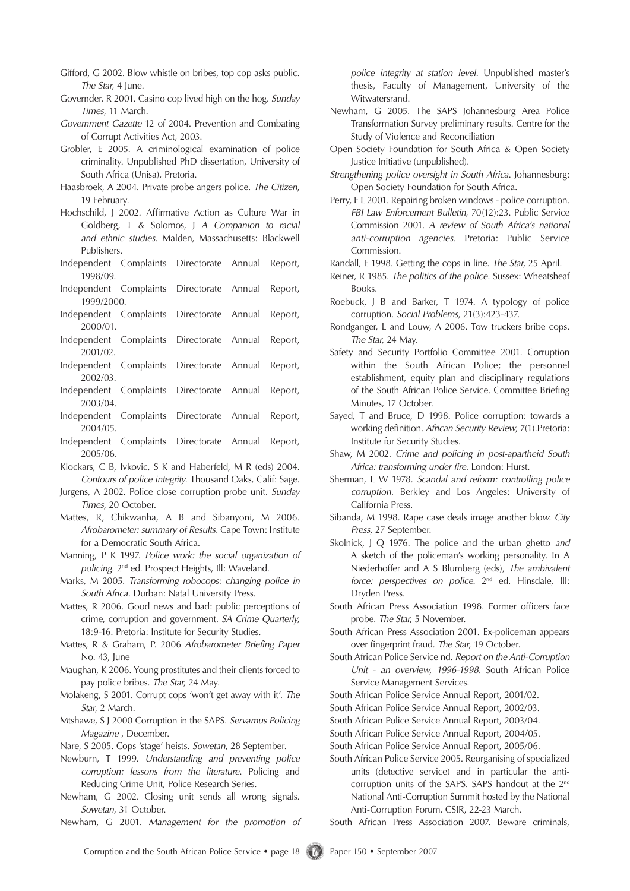- Gifford, G 2002. Blow whistle on bribes, top cop asks public. *The Star*, 4 June.
- Governder, R 2001. Casino cop lived high on the hog. *Sunday Times*, 11 March.
- *Government Gazette* 12 of 2004. Prevention and Combating of Corrupt Activities Act, 2003.
- Grobler, E 2005. A criminological examination of police criminality. Unpublished PhD dissertation, University of South Africa (Unisa), Pretoria.
- Haasbroek, A 2004. Private probe angers police. *The Citizen*, 19 February.
- Hochschild, J 2002. Affirmative Action as Culture War in Goldberg, T & Solomos, J *A Companion to racial and ethnic studies*. Malden, Massachusetts: Blackwell Publishers.
- Independent Complaints Directorate Annual Report, 1998/09.
- Independent Complaints Directorate Annual Report, 1999/2000.
- Independent Complaints Directorate Annual Report, 2000/01.
- Independent Complaints Directorate Annual Report, 2001/02.
- Independent Complaints Directorate Annual Report, 2002/03.
- Independent Complaints Directorate Annual Report, 2003/04.
- Independent Complaints Directorate Annual Report, 2004/05.
- Independent Complaints Directorate Annual Report, 2005/06.
- Klockars, C B, Ivkovic, S K and Haberfeld, M R (eds) 2004. *Contours of police integrity*. Thousand Oaks, Calif: Sage.
- Jurgens, A 2002. Police close corruption probe unit. *Sunday Times*, 20 October.
- Mattes, R, Chikwanha, A B and Sibanyoni, M 2006*. Afrobarometer: summary of Results*. Cape Town: Institute for a Democratic South Africa.
- Manning, P K 1997. *Police work: the social organization of policing*. 2nd ed. Prospect Heights, Ill: Waveland.
- Marks, M 2005. *Transforming robocops: changing police in South Africa*. Durban: Natal University Press.
- Mattes, R 2006. Good news and bad: public perceptions of crime, corruption and government. *SA Crime Quarterly,*  18:9-16. Pretoria: Institute for Security Studies.
- Mattes, R & Graham, P. 2006 *Afrobarometer Briefing Paper* No. 43, June
- Maughan, K 2006. Young prostitutes and their clients forced to pay police bribes. *The Star*, 24 May.
- Molakeng, S 2001. Corrupt cops 'won't get away with it'. *The Star*, 2 March.
- Mtshawe, S J 2000 Corruption in the SAPS. *Servamus Policing Magazine* , December.
- Nare, S 2005. Cops 'stage' heists. *Sowetan*, 28 September.
- Newburn, T 1999. *Understanding and preventing police corruption: lessons from the literature*. Policing and Reducing Crime Unit, Police Research Series.
- Newham, G 2002. Closing unit sends all wrong signals. *Sowetan*, 31 October.
- Newham, G 2001. *Management for the promotion of*

*police integrity at station level*. Unpublished master's thesis, Faculty of Management, University of the Witwatersrand.

- Newham, G 2005. The SAPS Johannesburg Area Police Transformation Survey preliminary results. Centre for the Study of Violence and Reconciliation
- Open Society Foundation for South Africa & Open Society Justice Initiative (unpublished).
- *Strengthening police oversight in South Africa*. Johannesburg: Open Society Foundation for South Africa.
- Perry, F L 2001. Repairing broken windows police corruption. *FBI Law Enforcement Bulletin,* 70(12):23. Public Service Commission 2001. *A review of South Africa's national anti-corruption agencies.* Pretoria: Public Service Commission.
- Randall, E 1998. Getting the cops in line. *The Star*, 25 April.
- Reiner, R 1985. *The politics of the police*. Sussex: Wheatsheaf Books.
- Roebuck, J B and Barker, T 1974. A typology of police corruption. *Social Problems*, 21(3):423-437.
- Rondganger, L and Louw, A 2006. Tow truckers bribe cops. *The Star*, 24 May.
- Safety and Security Portfolio Committee 2001. Corruption within the South African Police; the personnel establishment, equity plan and disciplinary regulations of the South African Police Service. Committee Briefing Minutes, 17 October.
- Sayed, T and Bruce, D 1998. Police corruption: towards a working definition. *African Security Review*, 7(1).Pretoria: Institute for Security Studies.
- Shaw, M 2002. *Crime and policing in post-apartheid South Africa: transforming under fire*. London: Hurst.
- Sherman, L W 1978. *Scandal and reform: controlling police corruption*. Berkley and Los Angeles: University of California Press.
- Sibanda, M 1998. Rape case deals image another blo*w. City Press*, 27 September.
- Skolnick, J Q 1976. The police and the urban ghetto *and* A sketch of the policeman's working personality. In A Niederhoffer and A S Blumberg (eds), *The ambivalent force: perspectives on police.* 2<sup>nd</sup> ed. Hinsdale, Ill: Dryden Press.
- South African Press Association 1998. Former officers face probe. *The Star*, 5 November.
- South African Press Association 2001. Ex-policeman appears over fingerprint fraud. *The Star*, 19 October.
- South African Police Service nd. *Report on the Anti-Corruption Unit - an overview, 1996-1998.* South African Police Service Management Services.
- South African Police Service Annual Report, 2001/02.
- South African Police Service Annual Report, 2002/03.
- South African Police Service Annual Report, 2003/04.
- South African Police Service Annual Report, 2004/05.
- South African Police Service Annual Report, 2005/06.
- South African Police Service 2005. Reorganising of specialized units (detective service) and in particular the anticorruption units of the SAPS. SAPS handout at the 2nd National Anti-Corruption Summit hosted by the National Anti-Corruption Forum, CSIR, 22-23 March.
- South African Press Association 2007. Beware criminals,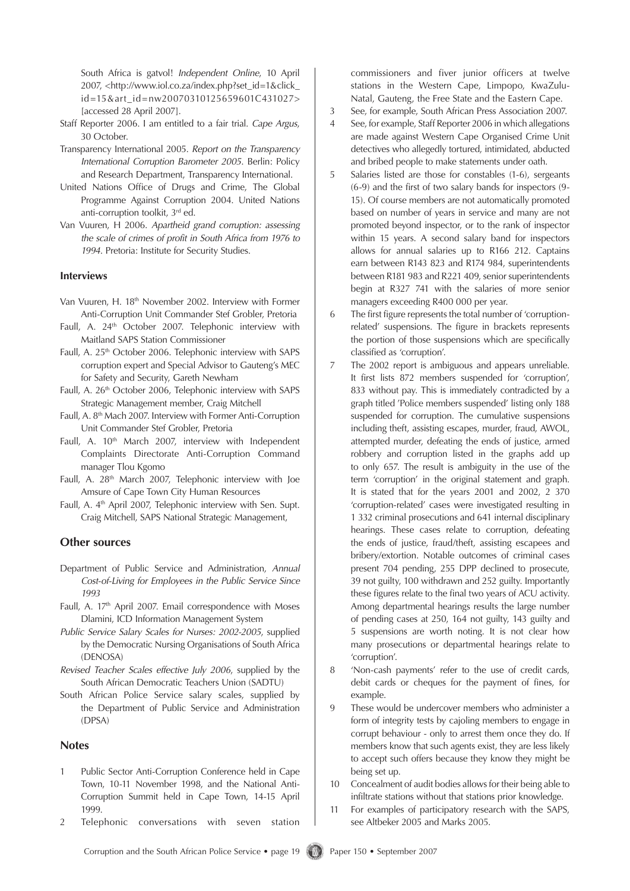South Africa is gatvol! *Independent Online*, 10 April 2007, <http://www.iol.co.za/index.php?set\_id=1&click\_ id=15&art\_id=nw20070310125659601C431027> [accessed 28 April 2007].

- Staff Reporter 2006. I am entitled to a fair trial. *Cape Argus*, 30 October.
- Transparency International 2005. *Report on the Transparency International Corruption Barometer 2005*. Berlin: Policy and Research Department, Transparency International.
- United Nations Office of Drugs and Crime, The Global Programme Against Corruption 2004. United Nations anti-corruption toolkit, 3rd ed.
- Van Vuuren, H 2006. *Apartheid grand corruption: assessing the scale of crimes of profit in South Africa from 1976 to 1994*. Pretoria: Institute for Security Studies.

#### **Interviews**

- Van Vuuren, H. 18<sup>th</sup> November 2002. Interview with Former Anti-Corruption Unit Commander Stef Grobler, Pretoria
- Faull, A. 24<sup>th</sup> October 2007. Telephonic interview with Maitland SAPS Station Commissioner
- Faull, A. 25<sup>th</sup> October 2006. Telephonic interview with SAPS corruption expert and Special Advisor to Gauteng's MEC for Safety and Security, Gareth Newham
- Faull, A. 26<sup>th</sup> October 2006, Telephonic interview with SAPS Strategic Management member, Craig Mitchell
- Faull, A. 8th Mach 2007. Interview with Former Anti-Corruption Unit Commander Stef Grobler, Pretoria
- Faull, A. 10<sup>th</sup> March 2007, interview with Independent Complaints Directorate Anti-Corruption Command manager Tlou Kgomo
- Faull, A. 28th March 2007, Telephonic interview with Joe Amsure of Cape Town City Human Resources
- Faull, A. 4th April 2007, Telephonic interview with Sen. Supt. Craig Mitchell, SAPS National Strategic Management,

#### **Other sources**

- Department of Public Service and Administration, *Annual Cost-of-Living for Employees in the Public Service Since 1993*
- Faull, A. 17th April 2007. Email correspondence with Moses Dlamini, ICD Information Management System
- *Public Service Salary Scales for Nurses: 2002-2005*, supplied by the Democratic Nursing Organisations of South Africa (DENOSA)
- *Revised Teacher Scales effective July 2006*, supplied by the South African Democratic Teachers Union (SADTU)
- South African Police Service salary scales, supplied by the Department of Public Service and Administration (DPSA)

#### **Notes**

- 1 Public Sector Anti-Corruption Conference held in Cape Town, 10-11 November 1998, and the National Anti-Corruption Summit held in Cape Town, 14-15 April 1999.
- 2 Telephonic conversations with seven station

commissioners and fiver junior officers at twelve stations in the Western Cape, Limpopo, KwaZulu-Natal, Gauteng, the Free State and the Eastern Cape.

- 3 See, for example, South African Press Association 2007.
- 4 See, for example, Staff Reporter 2006 in which allegations are made against Western Cape Organised Crime Unit detectives who allegedly tortured, intimidated, abducted and bribed people to make statements under oath.
- 5 Salaries listed are those for constables (1-6), sergeants (6-9) and the first of two salary bands for inspectors (9- 15). Of course members are not automatically promoted based on number of years in service and many are not promoted beyond inspector, or to the rank of inspector within 15 years. A second salary band for inspectors allows for annual salaries up to R166 212. Captains earn between R143 823 and R174 984, superintendents between R181 983 and R221 409, senior superintendents begin at R327 741 with the salaries of more senior managers exceeding R400 000 per year.
- 6 The first figure represents the total number of 'corruptionrelated' suspensions. The figure in brackets represents the portion of those suspensions which are specifically classified as 'corruption'.
- 7 The 2002 report is ambiguous and appears unreliable. It first lists 872 members suspended for 'corruption', 833 without pay. This is immediately contradicted by a graph titled 'Police members suspended' listing only 188 suspended for corruption. The cumulative suspensions including theft, assisting escapes, murder, fraud, AWOL, attempted murder, defeating the ends of justice, armed robbery and corruption listed in the graphs add up to only 657. The result is ambiguity in the use of the term 'corruption' in the original statement and graph. It is stated that for the years 2001 and 2002, 2 370 'corruption-related' cases were investigated resulting in 1 332 criminal prosecutions and 641 internal disciplinary hearings. These cases relate to corruption, defeating the ends of justice, fraud/theft, assisting escapees and bribery/extortion. Notable outcomes of criminal cases present 704 pending, 255 DPP declined to prosecute, 39 not guilty, 100 withdrawn and 252 guilty. Importantly these figures relate to the final two years of ACU activity. Among departmental hearings results the large number of pending cases at 250, 164 not guilty, 143 guilty and 5 suspensions are worth noting. It is not clear how many prosecutions or departmental hearings relate to 'corruption'.
- 8 'Non-cash payments' refer to the use of credit cards, debit cards or cheques for the payment of fines, for example.
- 9 These would be undercover members who administer a form of integrity tests by cajoling members to engage in corrupt behaviour - only to arrest them once they do. If members know that such agents exist, they are less likely to accept such offers because they know they might be being set up.
- 10 Concealment of audit bodies allows for their being able to infiltrate stations without that stations prior knowledge.
- 11 For examples of participatory research with the SAPS, see Altbeker 2005 and Marks 2005.